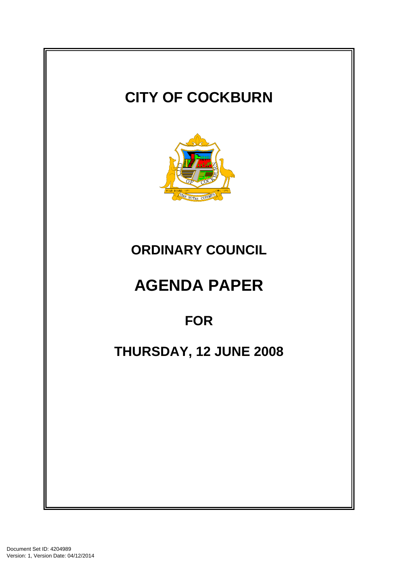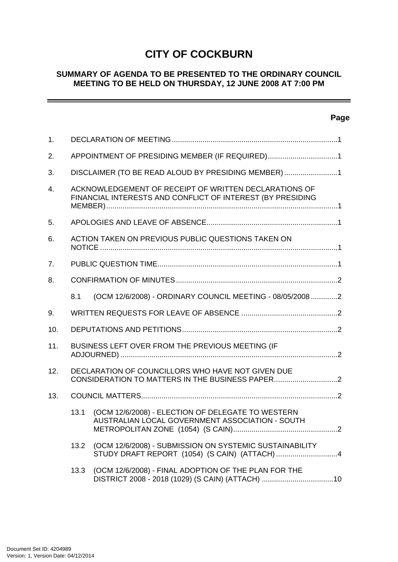# **CITY OF COCKBURN**

# **SUMMARY OF AGENDA TO BE PRESENTED TO THE ORDINARY COUNCIL MEETING TO BE HELD ON THURSDAY, 12 JUNE 2008 AT 7:00 PM**

# **Page**

\_\_\_\_\_\_

| 1.               |                                                                                                                     |                                                                                                          |  |
|------------------|---------------------------------------------------------------------------------------------------------------------|----------------------------------------------------------------------------------------------------------|--|
| 2.               | APPOINTMENT OF PRESIDING MEMBER (IF REQUIRED)1                                                                      |                                                                                                          |  |
| 3.               | DISCLAIMER (TO BE READ ALOUD BY PRESIDING MEMBER) 1                                                                 |                                                                                                          |  |
| $\overline{4}$ . | ACKNOWLEDGEMENT OF RECEIPT OF WRITTEN DECLARATIONS OF<br>FINANCIAL INTERESTS AND CONFLICT OF INTEREST (BY PRESIDING |                                                                                                          |  |
| 5.               |                                                                                                                     |                                                                                                          |  |
| 6.               | ACTION TAKEN ON PREVIOUS PUBLIC QUESTIONS TAKEN ON                                                                  |                                                                                                          |  |
| 7.               |                                                                                                                     |                                                                                                          |  |
| 8.               |                                                                                                                     |                                                                                                          |  |
|                  | 8.1                                                                                                                 | (OCM 12/6/2008) - ORDINARY COUNCIL MEETING - 08/05/2008 2                                                |  |
| 9.               |                                                                                                                     |                                                                                                          |  |
| 10.              |                                                                                                                     |                                                                                                          |  |
| 11.              | BUSINESS LEFT OVER FROM THE PREVIOUS MEETING (IF                                                                    |                                                                                                          |  |
| 12.              | DECLARATION OF COUNCILLORS WHO HAVE NOT GIVEN DUE                                                                   |                                                                                                          |  |
| 13.              |                                                                                                                     |                                                                                                          |  |
|                  | 13.1                                                                                                                | (OCM 12/6/2008) - ELECTION OF DELEGATE TO WESTERN<br>AUSTRALIAN LOCAL GOVERNMENT ASSOCIATION - SOUTH     |  |
|                  | 13.2                                                                                                                | (OCM 12/6/2008) - SUBMISSION ON SYSTEMIC SUSTAINABILITY<br>STUDY DRAFT REPORT (1054) (S CAIN) (ATTACH)4  |  |
|                  | 13.3                                                                                                                | (OCM 12/6/2008) - FINAL ADOPTION OF THE PLAN FOR THE<br>DISTRICT 2008 - 2018 (1029) (S CAIN) (ATTACH) 10 |  |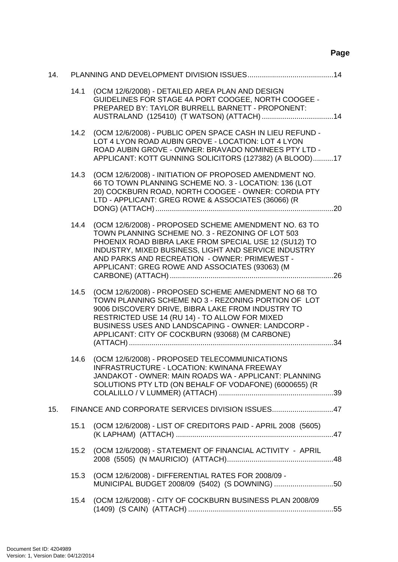# **Page**

| 14. |      |                                                                                                                                                                                                                                                                                                                               |  |  |
|-----|------|-------------------------------------------------------------------------------------------------------------------------------------------------------------------------------------------------------------------------------------------------------------------------------------------------------------------------------|--|--|
|     | 14.1 | (OCM 12/6/2008) - DETAILED AREA PLAN AND DESIGN<br>GUIDELINES FOR STAGE 4A PORT COOGEE, NORTH COOGEE -<br>PREPARED BY: TAYLOR BURRELL BARNETT - PROPONENT:                                                                                                                                                                    |  |  |
|     | 14.2 | (OCM 12/6/2008) - PUBLIC OPEN SPACE CASH IN LIEU REFUND -<br>LOT 4 LYON ROAD AUBIN GROVE - LOCATION: LOT 4 LYON<br>ROAD AUBIN GROVE - OWNER: BRAVADO NOMINEES PTY LTD -<br>APPLICANT: KOTT GUNNING SOLICITORS (127382) (A BLOOD)17                                                                                            |  |  |
|     | 14.3 | (OCM 12/6/2008) - INITIATION OF PROPOSED AMENDMENT NO.<br>66 TO TOWN PLANNING SCHEME NO. 3 - LOCATION: 136 (LOT<br>20) COCKBURN ROAD, NORTH COOGEE - OWNER: CORDIA PTY<br>LTD - APPLICANT: GREG ROWE & ASSOCIATES (36066) (R                                                                                                  |  |  |
|     | 14.4 | (OCM 12/6/2008) - PROPOSED SCHEME AMENDMENT NO. 63 TO<br>TOWN PLANNING SCHEME NO. 3 - REZONING OF LOT 503<br>PHOENIX ROAD BIBRA LAKE FROM SPECIAL USE 12 (SU12) TO<br>INDUSTRY, MIXED BUSINESS, LIGHT AND SERVICE INDUSTRY<br>AND PARKS AND RECREATION - OWNER: PRIMEWEST -<br>APPLICANT: GREG ROWE AND ASSOCIATES (93063) (M |  |  |
|     | 14.5 | (OCM 12/6/2008) - PROPOSED SCHEME AMENDMENT NO 68 TO<br>TOWN PLANNING SCHEME NO 3 - REZONING PORTION OF LOT<br>9006 DISCOVERY DRIVE, BIBRA LAKE FROM INDUSTRY TO<br>RESTRICTED USE 14 (RU 14) - TO ALLOW FOR MIXED<br>BUSINESS USES AND LANDSCAPING - OWNER: LANDCORP -<br>APPLICANT: CITY OF COCKBURN (93068) (M CARBONE)    |  |  |
|     | 14.6 | (OCM 12/6/2008) - PROPOSED TELECOMMUNICATIONS<br>INFRASTRUCTURE - LOCATION: KWINANA FREEWAY<br>JANDAKOT - OWNER: MAIN ROADS WA - APPLICANT: PLANNING<br>SOLUTIONS PTY LTD (ON BEHALF OF VODAFONE) (6000655) (R                                                                                                                |  |  |
| 15. |      | FINANCE AND CORPORATE SERVICES DIVISION ISSUES47                                                                                                                                                                                                                                                                              |  |  |
|     | 15.1 | (OCM 12/6/2008) - LIST OF CREDITORS PAID - APRIL 2008 (5605)                                                                                                                                                                                                                                                                  |  |  |
|     | 15.2 | (OCM 12/6/2008) - STATEMENT OF FINANCIAL ACTIVITY - APRIL                                                                                                                                                                                                                                                                     |  |  |
|     | 15.3 | (OCM 12/6/2008) - DIFFERENTIAL RATES FOR 2008/09 -<br>MUNICIPAL BUDGET 2008/09 (5402) (S DOWNING) 50                                                                                                                                                                                                                          |  |  |
|     | 15.4 | (OCM 12/6/2008) - CITY OF COCKBURN BUSINESS PLAN 2008/09                                                                                                                                                                                                                                                                      |  |  |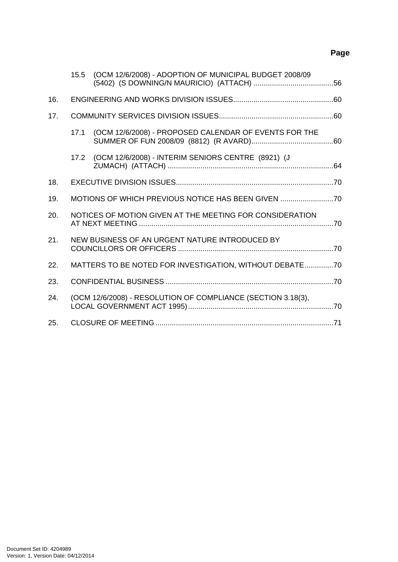# **Page**

|     | 15.5                                                         | (OCM 12/6/2008) - ADOPTION OF MUNICIPAL BUDGET 2008/09  |  |
|-----|--------------------------------------------------------------|---------------------------------------------------------|--|
| 16. |                                                              |                                                         |  |
| 17. |                                                              |                                                         |  |
|     | 17.1                                                         | (OCM 12/6/2008) - PROPOSED CALENDAR OF EVENTS FOR THE   |  |
|     |                                                              | 17.2 (OCM 12/6/2008) - INTERIM SENIORS CENTRE (8921) (J |  |
| 18. |                                                              |                                                         |  |
| 19. | MOTIONS OF WHICH PREVIOUS NOTICE HAS BEEN GIVEN              |                                                         |  |
| 20. | NOTICES OF MOTION GIVEN AT THE MEETING FOR CONSIDERATION     |                                                         |  |
| 21. | NEW BUSINESS OF AN URGENT NATURE INTRODUCED BY               |                                                         |  |
| 22. | MATTERS TO BE NOTED FOR INVESTIGATION, WITHOUT DEBATE70      |                                                         |  |
| 23. |                                                              |                                                         |  |
| 24. | (OCM 12/6/2008) - RESOLUTION OF COMPLIANCE (SECTION 3.18(3), |                                                         |  |
| 25. |                                                              |                                                         |  |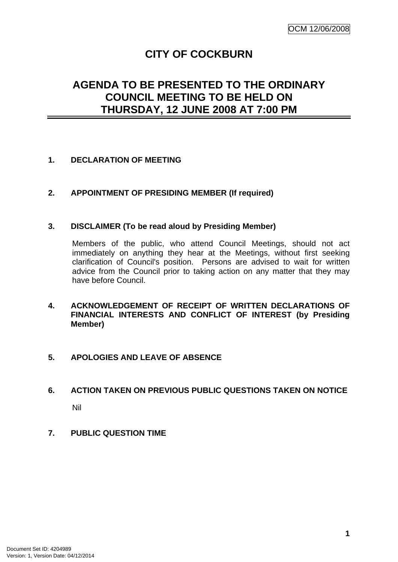# **CITY OF COCKBURN**

# <span id="page-4-0"></span>**AGENDA TO BE PRESENTED TO THE ORDINARY COUNCIL MEETING TO BE HELD ON THURSDAY, 12 JUNE 2008 AT 7:00 PM**

# **1. DECLARATION OF MEETING**

# **2. APPOINTMENT OF PRESIDING MEMBER (If required)**

## **3. DISCLAIMER (To be read aloud by Presiding Member)**

Members of the public, who attend Council Meetings, should not act immediately on anything they hear at the Meetings, without first seeking clarification of Council's position. Persons are advised to wait for written advice from the Council prior to taking action on any matter that they may have before Council.

## **4. ACKNOWLEDGEMENT OF RECEIPT OF WRITTEN DECLARATIONS OF FINANCIAL INTERESTS AND CONFLICT OF INTEREST (by Presiding Member)**

# **5. APOLOGIES AND LEAVE OF ABSENCE**

# **6. ACTION TAKEN ON PREVIOUS PUBLIC QUESTIONS TAKEN ON NOTICE**  Nil

**7. PUBLIC QUESTION TIME**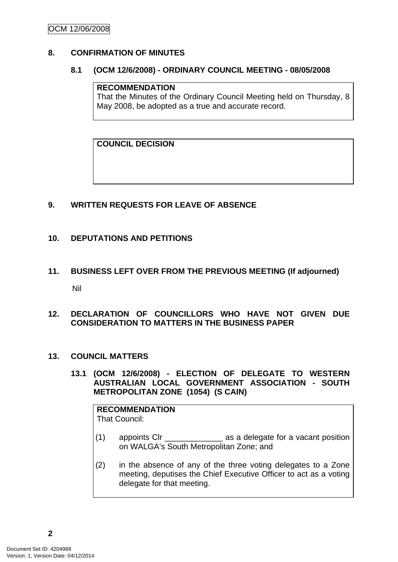# <span id="page-5-0"></span>**8. CONFIRMATION OF MINUTES**

## **8.1 (OCM 12/6/2008) - ORDINARY COUNCIL MEETING - 08/05/2008**

#### **RECOMMENDATION**

That the Minutes of the Ordinary Council Meeting held on Thursday, 8 May 2008, be adopted as a true and accurate record.

**COUNCIL DECISION**

# **9. WRITTEN REQUESTS FOR LEAVE OF ABSENCE**

## **10. DEPUTATIONS AND PETITIONS**

**11. BUSINESS LEFT OVER FROM THE PREVIOUS MEETING (If adjourned)**  Nil

## **12. DECLARATION OF COUNCILLORS WHO HAVE NOT GIVEN DUE CONSIDERATION TO MATTERS IN THE BUSINESS PAPER**

## **13. COUNCIL MATTERS**

**13.1 (OCM 12/6/2008) - ELECTION OF DELEGATE TO WESTERN AUSTRALIAN LOCAL GOVERNMENT ASSOCIATION - SOUTH METROPOLITAN ZONE (1054) (S CAIN)** 

# **RECOMMENDATION**

That Council:

- (1) appoints Clr \_\_\_\_\_\_\_\_\_\_\_\_\_ as a delegate for a vacant position on WALGA's South Metropolitan Zone; and
- (2) in the absence of any of the three voting delegates to a Zone meeting, deputises the Chief Executive Officer to act as a voting delegate for that meeting.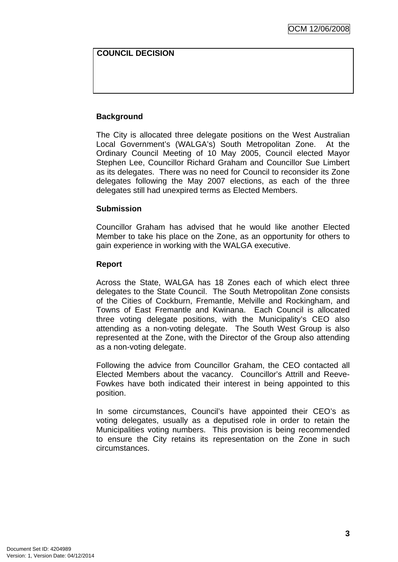## **COUNCIL DECISION**

# **Background**

The City is allocated three delegate positions on the West Australian Local Government's (WALGA's) South Metropolitan Zone. At the Ordinary Council Meeting of 10 May 2005, Council elected Mayor Stephen Lee, Councillor Richard Graham and Councillor Sue Limbert as its delegates. There was no need for Council to reconsider its Zone delegates following the May 2007 elections, as each of the three delegates still had unexpired terms as Elected Members.

#### **Submission**

Councillor Graham has advised that he would like another Elected Member to take his place on the Zone, as an opportunity for others to gain experience in working with the WALGA executive.

#### **Report**

Across the State, WALGA has 18 Zones each of which elect three delegates to the State Council. The South Metropolitan Zone consists of the Cities of Cockburn, Fremantle, Melville and Rockingham, and Towns of East Fremantle and Kwinana. Each Council is allocated three voting delegate positions, with the Municipality's CEO also attending as a non-voting delegate. The South West Group is also represented at the Zone, with the Director of the Group also attending as a non-voting delegate.

Following the advice from Councillor Graham, the CEO contacted all Elected Members about the vacancy. Councillor's Attrill and Reeve-Fowkes have both indicated their interest in being appointed to this position.

In some circumstances, Council's have appointed their CEO's as voting delegates, usually as a deputised role in order to retain the Municipalities voting numbers. This provision is being recommended to ensure the City retains its representation on the Zone in such circumstances.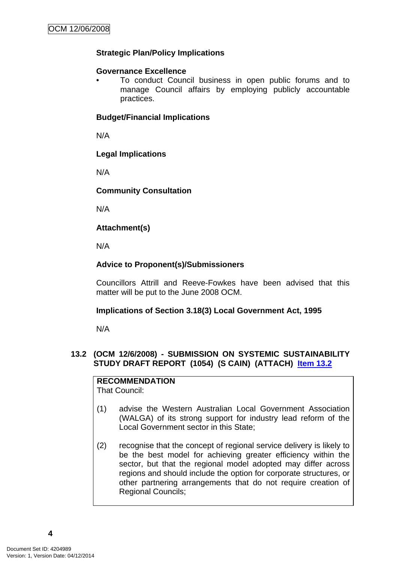# <span id="page-7-0"></span>**Strategic Plan/Policy Implications**

# **Governance Excellence**

• To conduct Council business in open public forums and to manage Council affairs by employing publicly accountable practices.

# **Budget/Financial Implications**

N/A

# **Legal Implications**

N/A

# **Community Consultation**

N/A

# **Attachment(s)**

N/A

# **Advice to Proponent(s)/Submissioners**

Councillors Attrill and Reeve-Fowkes have been advised that this matter will be put to the June 2008 OCM.

# **Implications of Section 3.18(3) Local Government Act, 1995**

N/A

# **13.2 (OCM 12/6/2008) - SUBMISSION ON SYSTEMIC SUSTAINABILITY STUDY DRAFT REPORT (1054) (S CAIN) (ATTACH) Item 13.2**

# **RECOMMENDATION**

That Council:

- (1) advise the Western Australian Local Government Association (WALGA) of its strong support for industry lead reform of the Local Government sector in this State;
- (2) recognise that the concept of regional service delivery is likely to be the best model for achieving greater efficiency within the sector, but that the regional model adopted may differ across regions and should include the option for corporate structures, or other partnering arrangements that do not require creation of Regional Councils;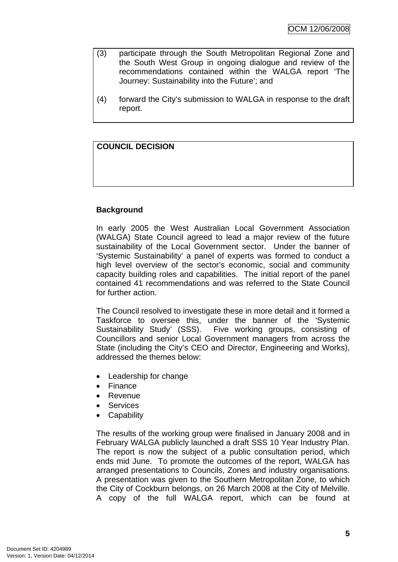- (3) participate through the South Metropolitan Regional Zone and the South West Group in ongoing dialogue and review of the recommendations contained within the WALGA report 'The Journey: Sustainability into the Future'; and
- (4) forward the City's submission to WALGA in response to the draft report.

# **COUNCIL DECISION**

# **Background**

In early 2005 the West Australian Local Government Association (WALGA) State Council agreed to lead a major review of the future sustainability of the Local Government sector. Under the banner of 'Systemic Sustainability' a panel of experts was formed to conduct a high level overview of the sector's economic, social and community capacity building roles and capabilities. The initial report of the panel contained 41 recommendations and was referred to the State Council for further action.

The Council resolved to investigate these in more detail and it formed a Taskforce to oversee this, under the banner of the 'Systemic Sustainability Study' (SSS). Five working groups, consisting of Councillors and senior Local Government managers from across the State (including the City's CEO and Director, Engineering and Works), addressed the themes below:

- Leadership for change
- Finance
- Revenue
- **Services**
- **Capability**

The results of the working group were finalised in January 2008 and in February WALGA publicly launched a draft SSS 10 Year Industry Plan. The report is now the subject of a public consultation period, which ends mid June. To promote the outcomes of the report, WALGA has arranged presentations to Councils, Zones and industry organisations. A presentation was given to the Southern Metropolitan Zone, to which the City of Cockburn belongs, on 26 March 2008 at the City of Melville. A copy of the full WALGA report, which can be found at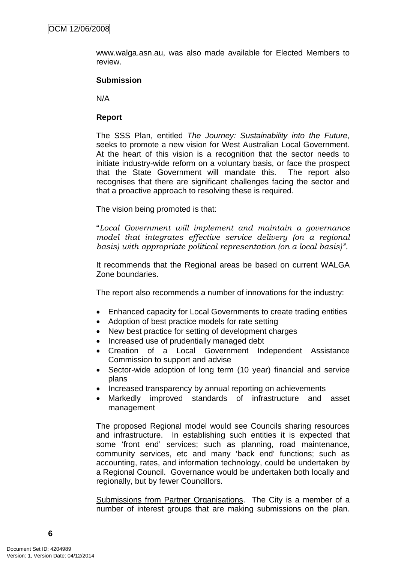www.walga.asn.au, was also made available for Elected Members to review.

#### **Submission**

N/A

#### **Report**

The SSS Plan, entitled *The Journey: Sustainability into the Future*, seeks to promote a new vision for West Australian Local Government. At the heart of this vision is a recognition that the sector needs to initiate industry-wide reform on a voluntary basis, or face the prospect that the State Government will mandate this. The report also recognises that there are significant challenges facing the sector and that a proactive approach to resolving these is required.

The vision being promoted is that:

"*Local Government will implement and maintain a governance model that integrates effective service delivery (on a regional basis) with appropriate political representation (on a local basis)".* 

It recommends that the Regional areas be based on current WALGA Zone boundaries.

The report also recommends a number of innovations for the industry:

- Enhanced capacity for Local Governments to create trading entities
- Adoption of best practice models for rate setting
- New best practice for setting of development charges
- Increased use of prudentially managed debt
- Creation of a Local Government Independent Assistance Commission to support and advise
- Sector-wide adoption of long term (10 year) financial and service plans
- Increased transparency by annual reporting on achievements
- Markedly improved standards of infrastructure and asset management

The proposed Regional model would see Councils sharing resources and infrastructure. In establishing such entities it is expected that some 'front end' services; such as planning, road maintenance, community services, etc and many 'back end' functions; such as accounting, rates, and information technology, could be undertaken by a Regional Council. Governance would be undertaken both locally and regionally, but by fewer Councillors.

Submissions from Partner Organisations. The City is a member of a number of interest groups that are making submissions on the plan.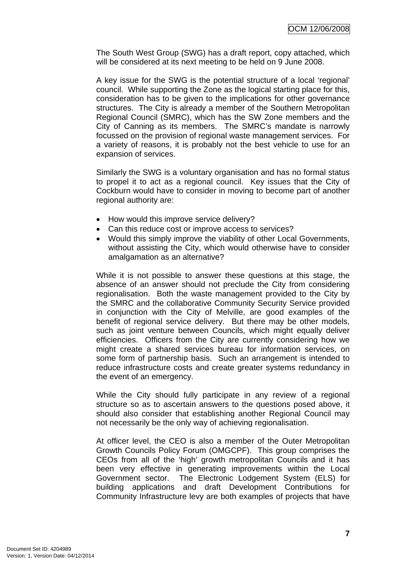The South West Group (SWG) has a draft report, copy attached, which will be considered at its next meeting to be held on 9 June 2008.

A key issue for the SWG is the potential structure of a local 'regional' council. While supporting the Zone as the logical starting place for this, consideration has to be given to the implications for other governance structures. The City is already a member of the Southern Metropolitan Regional Council (SMRC), which has the SW Zone members and the City of Canning as its members. The SMRC's mandate is narrowly focussed on the provision of regional waste management services. For a variety of reasons, it is probably not the best vehicle to use for an expansion of services.

Similarly the SWG is a voluntary organisation and has no formal status to propel it to act as a regional council. Key issues that the City of Cockburn would have to consider in moving to become part of another regional authority are:

- How would this improve service delivery?
- Can this reduce cost or improve access to services?
- Would this simply improve the viability of other Local Governments, without assisting the City, which would otherwise have to consider amalgamation as an alternative?

While it is not possible to answer these questions at this stage, the absence of an answer should not preclude the City from considering regionalisation. Both the waste management provided to the City by the SMRC and the collaborative Community Security Service provided in conjunction with the City of Melville, are good examples of the benefit of regional service delivery. But there may be other models, such as joint venture between Councils, which might equally deliver efficiencies. Officers from the City are currently considering how we might create a shared services bureau for information services, on some form of partnership basis. Such an arrangement is intended to reduce infrastructure costs and create greater systems redundancy in the event of an emergency.

While the City should fully participate in any review of a regional structure so as to ascertain answers to the questions posed above, it should also consider that establishing another Regional Council may not necessarily be the only way of achieving regionalisation.

At officer level, the CEO is also a member of the Outer Metropolitan Growth Councils Policy Forum (OMGCPF). This group comprises the CEOs from all of the 'high' growth metropolitan Councils and it has been very effective in generating improvements within the Local Government sector. The Electronic Lodgement System (ELS) for building applications and draft Development Contributions for Community Infrastructure levy are both examples of projects that have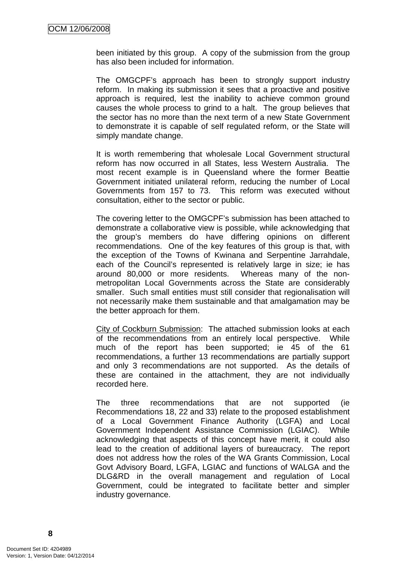been initiated by this group. A copy of the submission from the group has also been included for information.

The OMGCPF's approach has been to strongly support industry reform. In making its submission it sees that a proactive and positive approach is required, lest the inability to achieve common ground causes the whole process to grind to a halt. The group believes that the sector has no more than the next term of a new State Government to demonstrate it is capable of self regulated reform, or the State will simply mandate change.

It is worth remembering that wholesale Local Government structural reform has now occurred in all States, less Western Australia. The most recent example is in Queensland where the former Beattie Government initiated unilateral reform, reducing the number of Local Governments from 157 to 73. This reform was executed without consultation, either to the sector or public.

The covering letter to the OMGCPF's submission has been attached to demonstrate a collaborative view is possible, while acknowledging that the group's members do have differing opinions on different recommendations. One of the key features of this group is that, with the exception of the Towns of Kwinana and Serpentine Jarrahdale, each of the Council's represented is relatively large in size; ie has around 80,000 or more residents. Whereas many of the nonmetropolitan Local Governments across the State are considerably smaller. Such small entities must still consider that regionalisation will not necessarily make them sustainable and that amalgamation may be the better approach for them.

City of Cockburn Submission: The attached submission looks at each of the recommendations from an entirely local perspective. While much of the report has been supported; ie 45 of the 61 recommendations, a further 13 recommendations are partially support and only 3 recommendations are not supported. As the details of these are contained in the attachment, they are not individually recorded here.

The three recommendations that are not supported (ie Recommendations 18, 22 and 33) relate to the proposed establishment of a Local Government Finance Authority (LGFA) and Local Government Independent Assistance Commission (LGIAC). While acknowledging that aspects of this concept have merit, it could also lead to the creation of additional layers of bureaucracy. The report does not address how the roles of the WA Grants Commission, Local Govt Advisory Board, LGFA, LGIAC and functions of WALGA and the DLG&RD in the overall management and regulation of Local Government, could be integrated to facilitate better and simpler industry governance.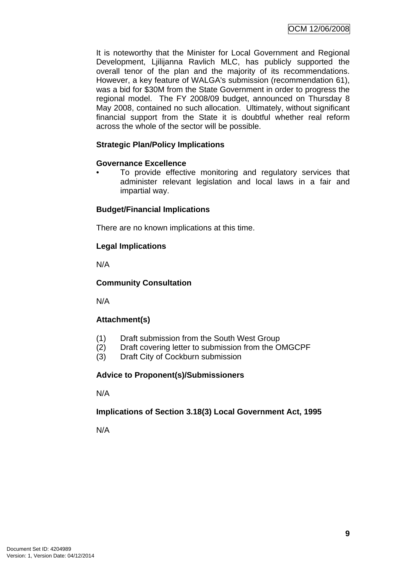It is noteworthy that the Minister for Local Government and Regional Development, Ljilijanna Ravlich MLC, has publicly supported the overall tenor of the plan and the majority of its recommendations. However, a key feature of WALGA's submission (recommendation 61), was a bid for \$30M from the State Government in order to progress the regional model. The FY 2008/09 budget, announced on Thursday 8 May 2008, contained no such allocation. Ultimately, without significant financial support from the State it is doubtful whether real reform across the whole of the sector will be possible.

# **Strategic Plan/Policy Implications**

# **Governance Excellence**

To provide effective monitoring and regulatory services that administer relevant legislation and local laws in a fair and impartial way.

# **Budget/Financial Implications**

There are no known implications at this time.

# **Legal Implications**

N/A

# **Community Consultation**

N/A

# **Attachment(s)**

- (1) Draft submission from the South West Group
- (2) Draft covering letter to submission from the OMGCPF
- (3) Draft City of Cockburn submission

# **Advice to Proponent(s)/Submissioners**

N/A

# **Implications of Section 3.18(3) Local Government Act, 1995**

N/A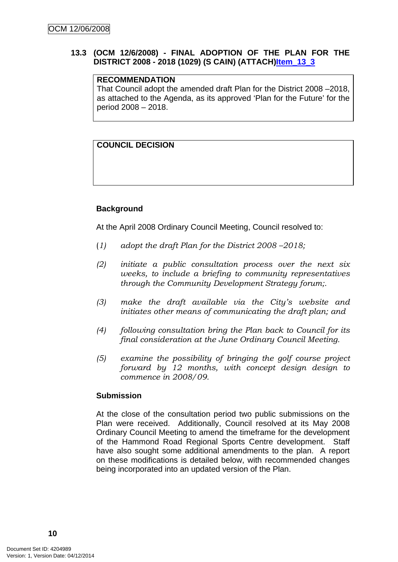# <span id="page-13-0"></span>**13.3 (OCM 12/6/2008) - FINAL ADOPTION OF THE PLAN FOR THE DISTRICT 2008 - 2018 (1029) (S CAIN) (ATTACH)Item\_13\_3**

# **RECOMMENDATION**

That Council adopt the amended draft Plan for the District 2008 –2018, as attached to the Agenda, as its approved 'Plan for the Future' for the period 2008 – 2018.

# **COUNCIL DECISION**

# **Background**

At the April 2008 Ordinary Council Meeting, Council resolved to:

- (*1) adopt the draft Plan for the District 2008 –2018;*
- *(2) initiate a public consultation process over the next six weeks, to include a briefing to community representatives through the Community Development Strategy forum;.*
- *(3) make the draft available via the City's website and initiates other means of communicating the draft plan; and*
- *(4) following consultation bring the Plan back to Council for its final consideration at the June Ordinary Council Meeting.*
- *(5) examine the possibility of bringing the golf course project forward by 12 months, with concept design design to commence in 2008/09.*

## **Submission**

At the close of the consultation period two public submissions on the Plan were received. Additionally, Council resolved at its May 2008 Ordinary Council Meeting to amend the timeframe for the development of the Hammond Road Regional Sports Centre development. Staff have also sought some additional amendments to the plan. A report on these modifications is detailed below, with recommended changes being incorporated into an updated version of the Plan.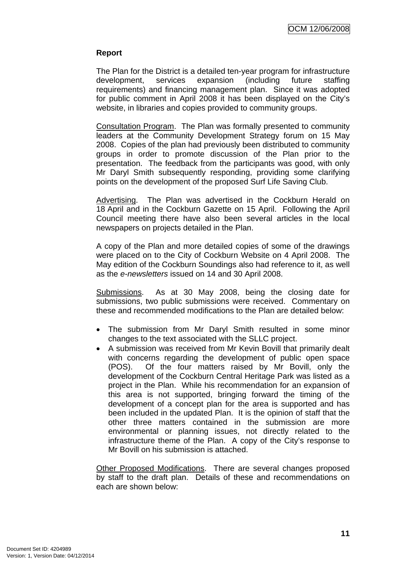# **Report**

The Plan for the District is a detailed ten-year program for infrastructure development, services expansion (including future staffing requirements) and financing management plan. Since it was adopted for public comment in April 2008 it has been displayed on the City's website, in libraries and copies provided to community groups.

Consultation Program. The Plan was formally presented to community leaders at the Community Development Strategy forum on 15 May 2008. Copies of the plan had previously been distributed to community groups in order to promote discussion of the Plan prior to the presentation. The feedback from the participants was good, with only Mr Daryl Smith subsequently responding, providing some clarifying points on the development of the proposed Surf Life Saving Club.

Advertising. The Plan was advertised in the Cockburn Herald on 18 April and in the Cockburn Gazette on 15 April. Following the April Council meeting there have also been several articles in the local newspapers on projects detailed in the Plan.

A copy of the Plan and more detailed copies of some of the drawings were placed on to the City of Cockburn Website on 4 April 2008. The May edition of the Cockburn Soundings also had reference to it, as well as the *e-newsletters* issued on 14 and 30 April 2008.

Submissions. As at 30 May 2008, being the closing date for submissions, two public submissions were received. Commentary on these and recommended modifications to the Plan are detailed below:

- The submission from Mr Daryl Smith resulted in some minor changes to the text associated with the SLLC project.
- A submission was received from Mr Kevin Bovill that primarily dealt with concerns regarding the development of public open space (POS). Of the four matters raised by Mr Bovill, only the development of the Cockburn Central Heritage Park was listed as a project in the Plan. While his recommendation for an expansion of this area is not supported, bringing forward the timing of the development of a concept plan for the area is supported and has been included in the updated Plan. It is the opinion of staff that the other three matters contained in the submission are more environmental or planning issues, not directly related to the infrastructure theme of the Plan. A copy of the City's response to Mr Bovill on his submission is attached.

Other Proposed Modifications. There are several changes proposed by staff to the draft plan. Details of these and recommendations on each are shown below: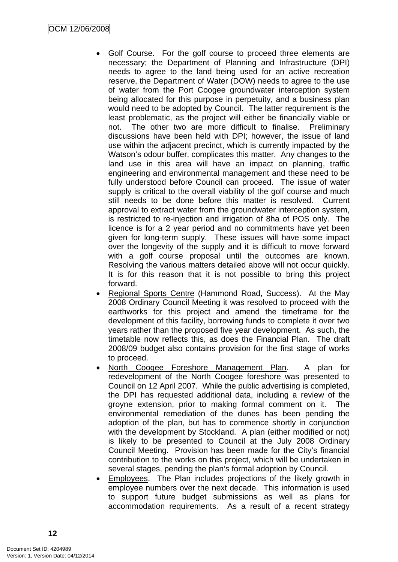- Golf Course. For the golf course to proceed three elements are necessary; the Department of Planning and Infrastructure (DPI) needs to agree to the land being used for an active recreation reserve, the Department of Water (DOW) needs to agree to the use of water from the Port Coogee groundwater interception system being allocated for this purpose in perpetuity, and a business plan would need to be adopted by Council. The latter requirement is the least problematic, as the project will either be financially viable or not. The other two are more difficult to finalise. Preliminary discussions have been held with DPI; however, the issue of land use within the adjacent precinct, which is currently impacted by the Watson's odour buffer, complicates this matter. Any changes to the land use in this area will have an impact on planning, traffic engineering and environmental management and these need to be fully understood before Council can proceed. The issue of water supply is critical to the overall viability of the golf course and much still needs to be done before this matter is resolved. Current approval to extract water from the groundwater interception system, is restricted to re-injection and irrigation of 8ha of POS only. The licence is for a 2 year period and no commitments have yet been given for long-term supply. These issues will have some impact over the longevity of the supply and it is difficult to move forward with a golf course proposal until the outcomes are known. Resolving the various matters detailed above will not occur quickly. It is for this reason that it is not possible to bring this project forward.
- Regional Sports Centre (Hammond Road, Success). At the May 2008 Ordinary Council Meeting it was resolved to proceed with the earthworks for this project and amend the timeframe for the development of this facility, borrowing funds to complete it over two years rather than the proposed five year development. As such, the timetable now reflects this, as does the Financial Plan. The draft 2008/09 budget also contains provision for the first stage of works to proceed.
- North Coogee Foreshore Management Plan. A plan for redevelopment of the North Coogee foreshore was presented to Council on 12 April 2007. While the public advertising is completed, the DPI has requested additional data, including a review of the groyne extension, prior to making formal comment on it. The environmental remediation of the dunes has been pending the adoption of the plan, but has to commence shortly in conjunction with the development by Stockland. A plan (either modified or not) is likely to be presented to Council at the July 2008 Ordinary Council Meeting. Provision has been made for the City's financial contribution to the works on this project, which will be undertaken in several stages, pending the plan's formal adoption by Council.
- Employees. The Plan includes projections of the likely growth in employee numbers over the next decade. This information is used to support future budget submissions as well as plans for accommodation requirements. As a result of a recent strategy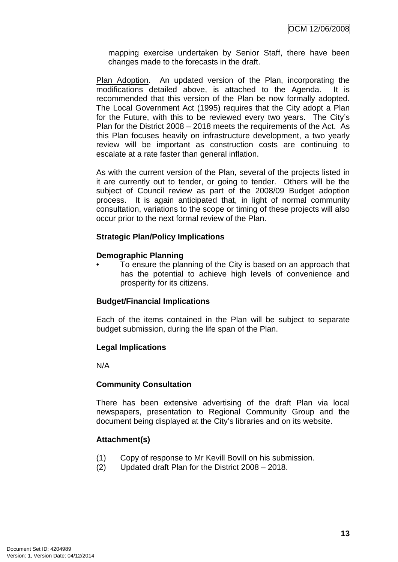mapping exercise undertaken by Senior Staff, there have been changes made to the forecasts in the draft.

Plan Adoption. An updated version of the Plan, incorporating the modifications detailed above, is attached to the Agenda. It is recommended that this version of the Plan be now formally adopted. The Local Government Act (1995) requires that the City adopt a Plan for the Future, with this to be reviewed every two years. The City's Plan for the District 2008 – 2018 meets the requirements of the Act. As this Plan focuses heavily on infrastructure development, a two yearly review will be important as construction costs are continuing to escalate at a rate faster than general inflation.

As with the current version of the Plan, several of the projects listed in it are currently out to tender, or going to tender. Others will be the subject of Council review as part of the 2008/09 Budget adoption process. It is again anticipated that, in light of normal community consultation, variations to the scope or timing of these projects will also occur prior to the next formal review of the Plan.

# **Strategic Plan/Policy Implications**

## **Demographic Planning**

• To ensure the planning of the City is based on an approach that has the potential to achieve high levels of convenience and prosperity for its citizens.

## **Budget/Financial Implications**

Each of the items contained in the Plan will be subject to separate budget submission, during the life span of the Plan.

## **Legal Implications**

N/A

## **Community Consultation**

There has been extensive advertising of the draft Plan via local newspapers, presentation to Regional Community Group and the document being displayed at the City's libraries and on its website.

## **Attachment(s)**

- (1) Copy of response to Mr Kevill Bovill on his submission.
- (2) Updated draft Plan for the District 2008 2018.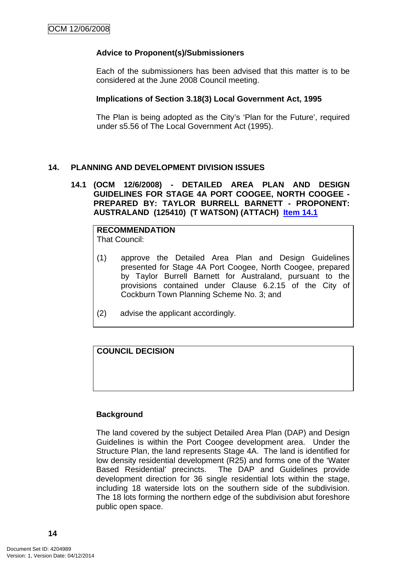## <span id="page-17-0"></span>**Advice to Proponent(s)/Submissioners**

Each of the submissioners has been advised that this matter is to be considered at the June 2008 Council meeting.

#### **Implications of Section 3.18(3) Local Government Act, 1995**

The Plan is being adopted as the City's 'Plan for the Future', required under s5.56 of The Local Government Act (1995).

## **14. PLANNING AND DEVELOPMENT DIVISION ISSUES**

### **14.1 (OCM 12/6/2008) - DETAILED AREA PLAN AND DESIGN GUIDELINES FOR STAGE 4A PORT COOGEE, NORTH COOGEE - PREPARED BY: TAYLOR BURRELL BARNETT - PROPONENT: AUSTRALAND (125410) (T WATSON) (ATTACH) Item 14.1**

**RECOMMENDATION** That Council:

- (1) approve the Detailed Area Plan and Design Guidelines presented for Stage 4A Port Coogee, North Coogee, prepared by Taylor Burrell Barnett for Australand, pursuant to the provisions contained under Clause 6.2.15 of the City of Cockburn Town Planning Scheme No. 3; and
- (2) advise the applicant accordingly.

# **COUNCIL DECISION**

## **Background**

The land covered by the subject Detailed Area Plan (DAP) and Design Guidelines is within the Port Coogee development area. Under the Structure Plan, the land represents Stage 4A. The land is identified for low density residential development (R25) and forms one of the 'Water Based Residential' precincts. The DAP and Guidelines provide development direction for 36 single residential lots within the stage, including 18 waterside lots on the southern side of the subdivision. The 18 lots forming the northern edge of the subdivision abut foreshore public open space.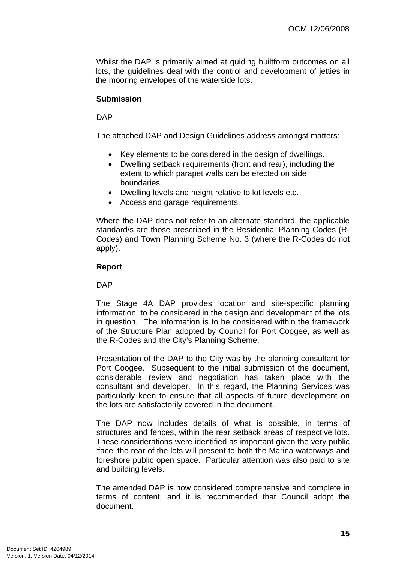Whilst the DAP is primarily aimed at guiding builtform outcomes on all lots, the guidelines deal with the control and development of jetties in the mooring envelopes of the waterside lots.

# **Submission**

# DAP

The attached DAP and Design Guidelines address amongst matters:

- Key elements to be considered in the design of dwellings.
- Dwelling setback requirements (front and rear), including the extent to which parapet walls can be erected on side boundaries.
- Dwelling levels and height relative to lot levels etc.
- Access and garage requirements.

Where the DAP does not refer to an alternate standard, the applicable standard/s are those prescribed in the Residential Planning Codes (R-Codes) and Town Planning Scheme No. 3 (where the R-Codes do not apply).

## **Report**

# DAP

The Stage 4A DAP provides location and site-specific planning information, to be considered in the design and development of the lots in question. The information is to be considered within the framework of the Structure Plan adopted by Council for Port Coogee, as well as the R-Codes and the City's Planning Scheme.

Presentation of the DAP to the City was by the planning consultant for Port Coogee. Subsequent to the initial submission of the document, considerable review and negotiation has taken place with the consultant and developer. In this regard, the Planning Services was particularly keen to ensure that all aspects of future development on the lots are satisfactorily covered in the document.

The DAP now includes details of what is possible, in terms of structures and fences, within the rear setback areas of respective lots. These considerations were identified as important given the very public 'face' the rear of the lots will present to both the Marina waterways and foreshore public open space. Particular attention was also paid to site and building levels.

The amended DAP is now considered comprehensive and complete in terms of content, and it is recommended that Council adopt the document.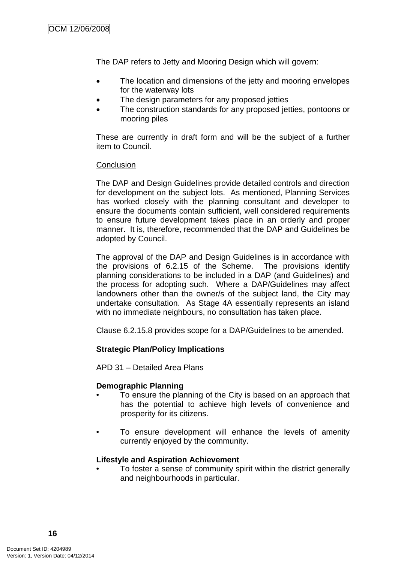The DAP refers to Jetty and Mooring Design which will govern:

- The location and dimensions of the jetty and mooring envelopes for the waterway lots
- The design parameters for any proposed jetties
- The construction standards for any proposed jetties, pontoons or mooring piles

These are currently in draft form and will be the subject of a further item to Council.

## **Conclusion**

The DAP and Design Guidelines provide detailed controls and direction for development on the subject lots. As mentioned, Planning Services has worked closely with the planning consultant and developer to ensure the documents contain sufficient, well considered requirements to ensure future development takes place in an orderly and proper manner. It is, therefore, recommended that the DAP and Guidelines be adopted by Council.

The approval of the DAP and Design Guidelines is in accordance with the provisions of 6.2.15 of the Scheme. The provisions identify planning considerations to be included in a DAP (and Guidelines) and the process for adopting such. Where a DAP/Guidelines may affect landowners other than the owner/s of the subject land, the City may undertake consultation. As Stage 4A essentially represents an island with no immediate neighbours, no consultation has taken place.

Clause 6.2.15.8 provides scope for a DAP/Guidelines to be amended.

# **Strategic Plan/Policy Implications**

APD 31 – Detailed Area Plans

## **Demographic Planning**

- To ensure the planning of the City is based on an approach that has the potential to achieve high levels of convenience and prosperity for its citizens.
- To ensure development will enhance the levels of amenity currently enjoyed by the community.

## **Lifestyle and Aspiration Achievement**

• To foster a sense of community spirit within the district generally and neighbourhoods in particular.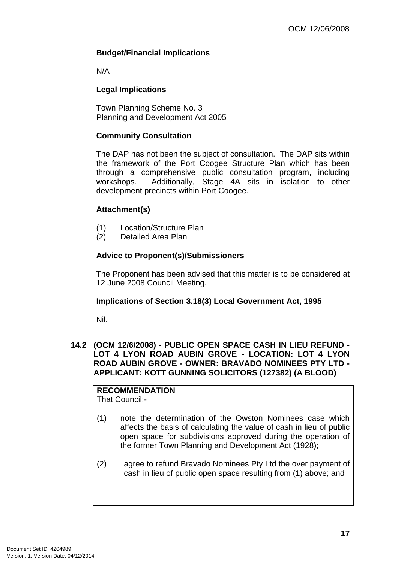# <span id="page-20-0"></span>**Budget/Financial Implications**

N/A

# **Legal Implications**

Town Planning Scheme No. 3 Planning and Development Act 2005

# **Community Consultation**

The DAP has not been the subject of consultation. The DAP sits within the framework of the Port Coogee Structure Plan which has been through a comprehensive public consultation program, including workshops. Additionally, Stage 4A sits in isolation to other development precincts within Port Coogee.

# **Attachment(s)**

- (1) Location/Structure Plan
- (2) Detailed Area Plan

# **Advice to Proponent(s)/Submissioners**

The Proponent has been advised that this matter is to be considered at 12 June 2008 Council Meeting.

# **Implications of Section 3.18(3) Local Government Act, 1995**

Nil.

## **14.2 (OCM 12/6/2008) - PUBLIC OPEN SPACE CASH IN LIEU REFUND - LOT 4 LYON ROAD AUBIN GROVE - LOCATION: LOT 4 LYON ROAD AUBIN GROVE - OWNER: BRAVADO NOMINEES PTY LTD - APPLICANT: KOTT GUNNING SOLICITORS (127382) (A BLOOD)**

#### **RECOMMENDATION** That Council:-

- (1) note the determination of the Owston Nominees case which affects the basis of calculating the value of cash in lieu of public open space for subdivisions approved during the operation of the former Town Planning and Development Act (1928);
- (2) agree to refund Bravado Nominees Pty Ltd the over payment of cash in lieu of public open space resulting from (1) above; and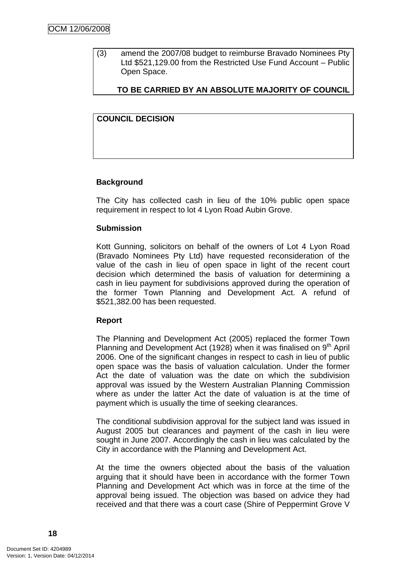(3) amend the 2007/08 budget to reimburse Bravado Nominees Pty Ltd \$521,129.00 from the Restricted Use Fund Account – Public Open Space.

# **TO BE CARRIED BY AN ABSOLUTE MAJORITY OF COUNCIL**

# **COUNCIL DECISION**

## **Background**

The City has collected cash in lieu of the 10% public open space requirement in respect to lot 4 Lyon Road Aubin Grove.

#### **Submission**

Kott Gunning, solicitors on behalf of the owners of Lot 4 Lyon Road (Bravado Nominees Pty Ltd) have requested reconsideration of the value of the cash in lieu of open space in light of the recent court decision which determined the basis of valuation for determining a cash in lieu payment for subdivisions approved during the operation of the former Town Planning and Development Act. A refund of \$521,382.00 has been requested.

## **Report**

The Planning and Development Act (2005) replaced the former Town Planning and Development Act (1928) when it was finalised on 9<sup>th</sup> April 2006. One of the significant changes in respect to cash in lieu of public open space was the basis of valuation calculation. Under the former Act the date of valuation was the date on which the subdivision approval was issued by the Western Australian Planning Commission where as under the latter Act the date of valuation is at the time of payment which is usually the time of seeking clearances.

The conditional subdivision approval for the subject land was issued in August 2005 but clearances and payment of the cash in lieu were sought in June 2007. Accordingly the cash in lieu was calculated by the City in accordance with the Planning and Development Act.

At the time the owners objected about the basis of the valuation arguing that it should have been in accordance with the former Town Planning and Development Act which was in force at the time of the approval being issued. The objection was based on advice they had received and that there was a court case (Shire of Peppermint Grove V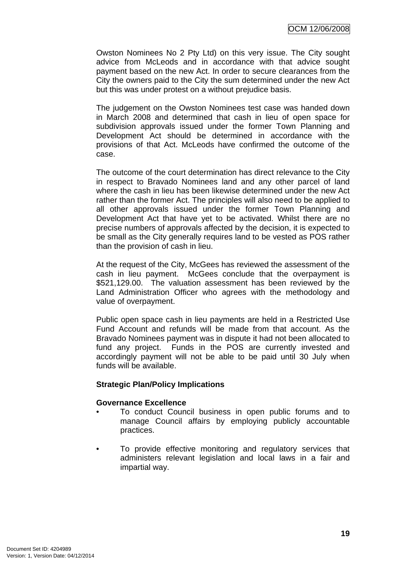Owston Nominees No 2 Pty Ltd) on this very issue. The City sought advice from McLeods and in accordance with that advice sought payment based on the new Act. In order to secure clearances from the City the owners paid to the City the sum determined under the new Act but this was under protest on a without prejudice basis.

The judgement on the Owston Nominees test case was handed down in March 2008 and determined that cash in lieu of open space for subdivision approvals issued under the former Town Planning and Development Act should be determined in accordance with the provisions of that Act. McLeods have confirmed the outcome of the case.

The outcome of the court determination has direct relevance to the City in respect to Bravado Nominees land and any other parcel of land where the cash in lieu has been likewise determined under the new Act rather than the former Act. The principles will also need to be applied to all other approvals issued under the former Town Planning and Development Act that have yet to be activated. Whilst there are no precise numbers of approvals affected by the decision, it is expected to be small as the City generally requires land to be vested as POS rather than the provision of cash in lieu.

At the request of the City, McGees has reviewed the assessment of the cash in lieu payment. McGees conclude that the overpayment is \$521,129.00. The valuation assessment has been reviewed by the Land Administration Officer who agrees with the methodology and value of overpayment.

Public open space cash in lieu payments are held in a Restricted Use Fund Account and refunds will be made from that account. As the Bravado Nominees payment was in dispute it had not been allocated to fund any project. Funds in the POS are currently invested and accordingly payment will not be able to be paid until 30 July when funds will be available.

## **Strategic Plan/Policy Implications**

## **Governance Excellence**

- To conduct Council business in open public forums and to manage Council affairs by employing publicly accountable practices.
- To provide effective monitoring and regulatory services that administers relevant legislation and local laws in a fair and impartial way.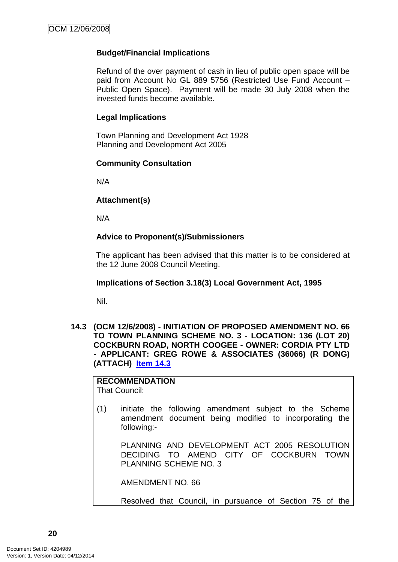# <span id="page-23-0"></span>**Budget/Financial Implications**

Refund of the over payment of cash in lieu of public open space will be paid from Account No GL 889 5756 (Restricted Use Fund Account – Public Open Space). Payment will be made 30 July 2008 when the invested funds become available.

#### **Legal Implications**

Town Planning and Development Act 1928 Planning and Development Act 2005

#### **Community Consultation**

N/A

## **Attachment(s)**

N/A

## **Advice to Proponent(s)/Submissioners**

The applicant has been advised that this matter is to be considered at the 12 June 2008 Council Meeting.

#### **Implications of Section 3.18(3) Local Government Act, 1995**

Nil.

**14.3 (OCM 12/6/2008) - INITIATION OF PROPOSED AMENDMENT NO. 66 TO TOWN PLANNING SCHEME NO. 3 - LOCATION: 136 (LOT 20) COCKBURN ROAD, NORTH COOGEE - OWNER: CORDIA PTY LTD - APPLICANT: GREG ROWE & ASSOCIATES (36066) (R DONG) (ATTACH) Item 14.3**

# **RECOMMENDATION**

That Council:

(1) initiate the following amendment subject to the Scheme amendment document being modified to incorporating the following:-

 PLANNING AND DEVELOPMENT ACT 2005 RESOLUTION DECIDING TO AMEND CITY OF COCKBURN TOWN PLANNING SCHEME NO. 3

AMENDMENT NO. 66

Resolved that Council, in pursuance of Section 75 of the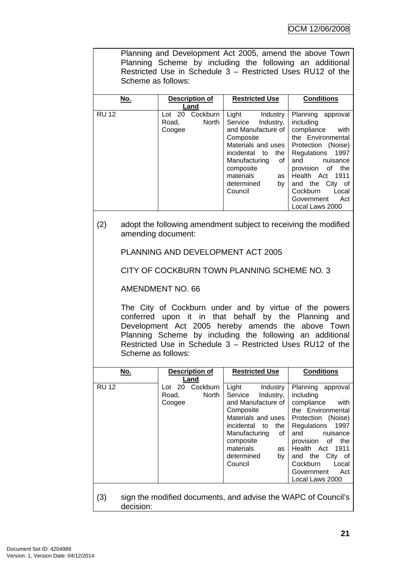|              | Planning and Development Act 2005, amend the above Town<br>Planning Scheme by including the following an additional<br>Restricted Use in Schedule 3 - Restricted Uses RU12 of the<br>Scheme as follows:                                                                                                             |                                                       |                                                                                                                                                                                                                                             |                                                                                                                                                                                                                                                                                 |
|--------------|---------------------------------------------------------------------------------------------------------------------------------------------------------------------------------------------------------------------------------------------------------------------------------------------------------------------|-------------------------------------------------------|---------------------------------------------------------------------------------------------------------------------------------------------------------------------------------------------------------------------------------------------|---------------------------------------------------------------------------------------------------------------------------------------------------------------------------------------------------------------------------------------------------------------------------------|
|              | <u>No.</u>                                                                                                                                                                                                                                                                                                          | Description of<br>Land                                | <b>Restricted Use</b>                                                                                                                                                                                                                       | <b>Conditions</b>                                                                                                                                                                                                                                                               |
| <b>RU 12</b> |                                                                                                                                                                                                                                                                                                                     | Lot 20 Cockburn<br>Road,<br>North<br>Coogee           | Light<br>Industry<br>Service Industry,<br>and Manufacture of<br>Composite<br>Materials and uses<br>incidental to<br>the  <br>of I<br>Manufacturing<br>composite<br>materials<br>as <sub>1</sub><br>determined<br>by <sub>1</sub><br>Council | Planning approval<br>including<br>compliance<br>with<br>the Environmental<br>Protection (Noise)<br>Regulations<br>1997<br>and<br>nuisance<br>provision of the<br>1911<br>Health Act<br>and the City of<br>Cockburn<br>Local<br>Government<br>Act<br>Local Laws 2000             |
| (2)          | adopt the following amendment subject to receiving the modified<br>amending document:                                                                                                                                                                                                                               |                                                       |                                                                                                                                                                                                                                             |                                                                                                                                                                                                                                                                                 |
|              | PLANNING AND DEVELOPMENT ACT 2005                                                                                                                                                                                                                                                                                   |                                                       |                                                                                                                                                                                                                                             |                                                                                                                                                                                                                                                                                 |
|              | CITY OF COCKBURN TOWN PLANNING SCHEME NO. 3                                                                                                                                                                                                                                                                         |                                                       |                                                                                                                                                                                                                                             |                                                                                                                                                                                                                                                                                 |
|              | <b>AMENDMENT NO. 66</b>                                                                                                                                                                                                                                                                                             |                                                       |                                                                                                                                                                                                                                             |                                                                                                                                                                                                                                                                                 |
|              | The City of Cockburn under and by virtue of the powers<br>conferred upon it in that behalf by the Planning and<br>Development Act 2005 hereby amends the above Town<br>Planning Scheme by including the following an additional<br>Restricted Use in Schedule 3 - Restricted Uses RU12 of the<br>Scheme as follows: |                                                       |                                                                                                                                                                                                                                             |                                                                                                                                                                                                                                                                                 |
|              | <u>No.</u>                                                                                                                                                                                                                                                                                                          | <b>Description of</b><br>Land                         | <b>Restricted Use</b>                                                                                                                                                                                                                       | <b>Conditions</b>                                                                                                                                                                                                                                                               |
| <b>RU 12</b> |                                                                                                                                                                                                                                                                                                                     | Cockburn<br>Lot 20<br>Road,<br><b>North</b><br>Coogee | Light<br>Industry<br>Service<br>Industry,<br>and Manufacture of<br>Composite<br>Materials and uses<br>incidental<br>to<br>the<br>Manufacturing<br>of<br>composite<br>materials<br>as<br>determined<br>by<br>Council                         | Planning<br>approval<br>including<br>compliance<br>with<br>the Environmental<br>Protection (Noise)<br>Regulations<br>1997<br>and<br>nuisance<br>of the<br>provision<br>1911<br>Health<br>Act<br>and the<br>City of<br>Cockburn<br>Local<br>Government<br>Act<br>Local Laws 2000 |
| (3)          | decision:                                                                                                                                                                                                                                                                                                           |                                                       | sign the modified documents, and advise the WAPC of Council's                                                                                                                                                                               |                                                                                                                                                                                                                                                                                 |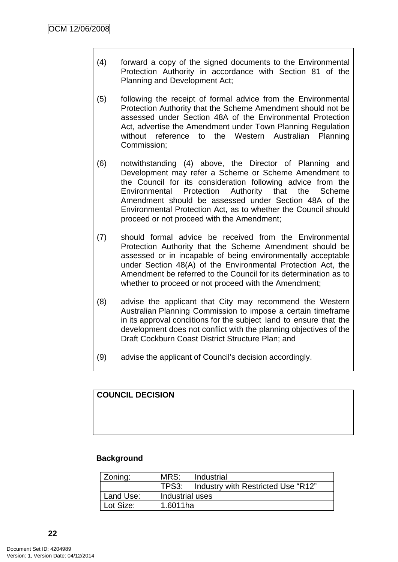- (4) forward a copy of the signed documents to the Environmental Protection Authority in accordance with Section 81 of the Planning and Development Act;
- (5) following the receipt of formal advice from the Environmental Protection Authority that the Scheme Amendment should not be assessed under Section 48A of the Environmental Protection Act, advertise the Amendment under Town Planning Regulation without reference to the Western Australian Planning Commission;
- (6) notwithstanding (4) above, the Director of Planning and Development may refer a Scheme or Scheme Amendment to the Council for its consideration following advice from the Environmental Protection Authority that the Scheme Amendment should be assessed under Section 48A of the Environmental Protection Act, as to whether the Council should proceed or not proceed with the Amendment;
- (7) should formal advice be received from the Environmental Protection Authority that the Scheme Amendment should be assessed or in incapable of being environmentally acceptable under Section 48(A) of the Environmental Protection Act, the Amendment be referred to the Council for its determination as to whether to proceed or not proceed with the Amendment;
- (8) advise the applicant that City may recommend the Western Australian Planning Commission to impose a certain timeframe in its approval conditions for the subject land to ensure that the development does not conflict with the planning objectives of the Draft Cockburn Coast District Structure Plan; and
- (9) advise the applicant of Council's decision accordingly.

# **COUNCIL DECISION**

# **Background**

| Zoning:   | MRS:            | Industrial                         |
|-----------|-----------------|------------------------------------|
|           | TPS3:           | Industry with Restricted Use "R12" |
| Land Use: | Industrial uses |                                    |
| Lot Size: | 1.6011ha        |                                    |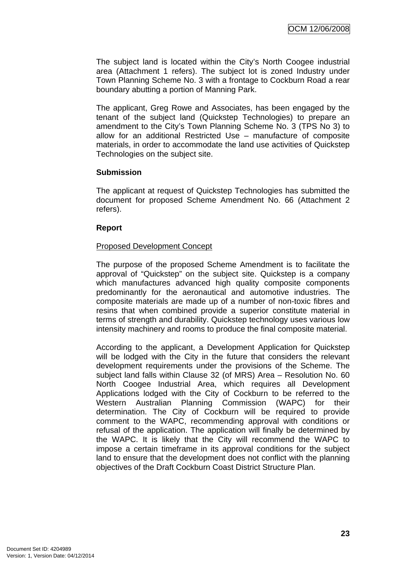The subject land is located within the City's North Coogee industrial area (Attachment 1 refers). The subject lot is zoned Industry under Town Planning Scheme No. 3 with a frontage to Cockburn Road a rear boundary abutting a portion of Manning Park.

The applicant, Greg Rowe and Associates, has been engaged by the tenant of the subject land (Quickstep Technologies) to prepare an amendment to the City's Town Planning Scheme No. 3 (TPS No 3) to allow for an additional Restricted Use – manufacture of composite materials, in order to accommodate the land use activities of Quickstep Technologies on the subject site.

## **Submission**

The applicant at request of Quickstep Technologies has submitted the document for proposed Scheme Amendment No. 66 (Attachment 2 refers).

## **Report**

## Proposed Development Concept

The purpose of the proposed Scheme Amendment is to facilitate the approval of "Quickstep" on the subject site. Quickstep is a company which manufactures advanced high quality composite components predominantly for the aeronautical and automotive industries. The composite materials are made up of a number of non-toxic fibres and resins that when combined provide a superior constitute material in terms of strength and durability. Quickstep technology uses various low intensity machinery and rooms to produce the final composite material.

According to the applicant, a Development Application for Quickstep will be lodged with the City in the future that considers the relevant development requirements under the provisions of the Scheme. The subject land falls within Clause 32 (of MRS) Area – Resolution No. 60 North Coogee Industrial Area, which requires all Development Applications lodged with the City of Cockburn to be referred to the Western Australian Planning Commission (WAPC) for their determination. The City of Cockburn will be required to provide comment to the WAPC, recommending approval with conditions or refusal of the application. The application will finally be determined by the WAPC. It is likely that the City will recommend the WAPC to impose a certain timeframe in its approval conditions for the subject land to ensure that the development does not conflict with the planning objectives of the Draft Cockburn Coast District Structure Plan.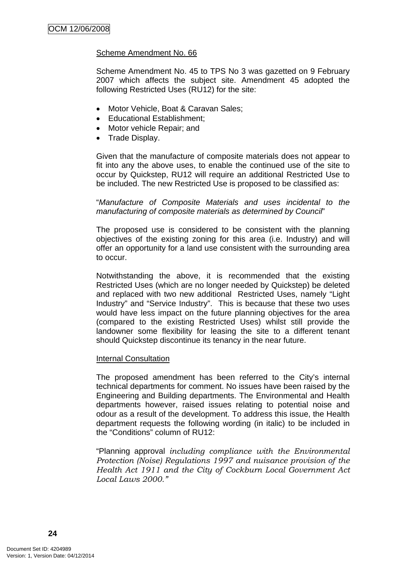#### Scheme Amendment No. 66

Scheme Amendment No. 45 to TPS No 3 was gazetted on 9 February 2007 which affects the subject site. Amendment 45 adopted the following Restricted Uses (RU12) for the site:

- Motor Vehicle, Boat & Caravan Sales;
- Educational Establishment;
- Motor vehicle Repair; and
- Trade Display.

Given that the manufacture of composite materials does not appear to fit into any the above uses, to enable the continued use of the site to occur by Quickstep, RU12 will require an additional Restricted Use to be included. The new Restricted Use is proposed to be classified as:

"*Manufacture of Composite Materials and uses incidental to the manufacturing of composite materials as determined by Council*"

The proposed use is considered to be consistent with the planning objectives of the existing zoning for this area (i.e. Industry) and will offer an opportunity for a land use consistent with the surrounding area to occur.

Notwithstanding the above, it is recommended that the existing Restricted Uses (which are no longer needed by Quickstep) be deleted and replaced with two new additional Restricted Uses, namely "Light Industry" and "Service Industry". This is because that these two uses would have less impact on the future planning objectives for the area (compared to the existing Restricted Uses) whilst still provide the landowner some flexibility for leasing the site to a different tenant should Quickstep discontinue its tenancy in the near future.

#### Internal Consultation

The proposed amendment has been referred to the City's internal technical departments for comment. No issues have been raised by the Engineering and Building departments. The Environmental and Health departments however, raised issues relating to potential noise and odour as a result of the development. To address this issue, the Health department requests the following wording (in italic) to be included in the "Conditions" column of RU12:

"Planning approval *including compliance with the Environmental Protection (Noise) Regulations 1997 and nuisance provision of the Health Act 1911 and the City of Cockburn Local Government Act Local Laws 2000."*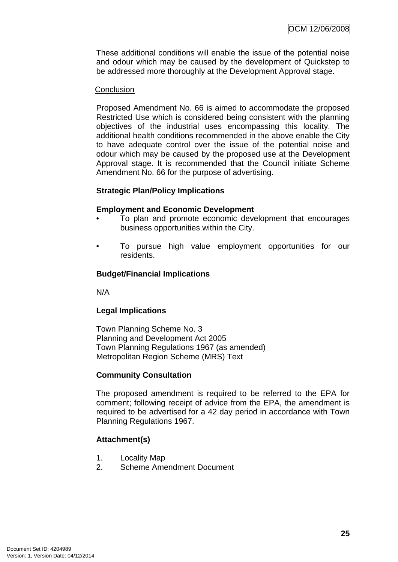These additional conditions will enable the issue of the potential noise and odour which may be caused by the development of Quickstep to be addressed more thoroughly at the Development Approval stage.

#### **Conclusion**

Proposed Amendment No. 66 is aimed to accommodate the proposed Restricted Use which is considered being consistent with the planning objectives of the industrial uses encompassing this locality. The additional health conditions recommended in the above enable the City to have adequate control over the issue of the potential noise and odour which may be caused by the proposed use at the Development Approval stage. It is recommended that the Council initiate Scheme Amendment No. 66 for the purpose of advertising.

## **Strategic Plan/Policy Implications**

## **Employment and Economic Development**

- To plan and promote economic development that encourages business opportunities within the City.
- To pursue high value employment opportunities for our residents.

# **Budget/Financial Implications**

N/A

# **Legal Implications**

Town Planning Scheme No. 3 Planning and Development Act 2005 Town Planning Regulations 1967 (as amended) Metropolitan Region Scheme (MRS) Text

## **Community Consultation**

The proposed amendment is required to be referred to the EPA for comment; following receipt of advice from the EPA, the amendment is required to be advertised for a 42 day period in accordance with Town Planning Regulations 1967.

# **Attachment(s)**

- 1. Locality Map
- 2. Scheme Amendment Document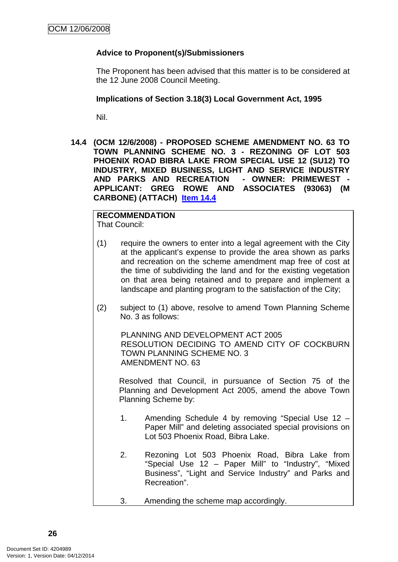# <span id="page-29-0"></span>**Advice to Proponent(s)/Submissioners**

The Proponent has been advised that this matter is to be considered at the 12 June 2008 Council Meeting.

#### **Implications of Section 3.18(3) Local Government Act, 1995**

Nil.

**14.4 (OCM 12/6/2008) - PROPOSED SCHEME AMENDMENT NO. 63 TO TOWN PLANNING SCHEME NO. 3 - REZONING OF LOT 503 PHOENIX ROAD BIBRA LAKE FROM SPECIAL USE 12 (SU12) TO INDUSTRY, MIXED BUSINESS, LIGHT AND SERVICE INDUSTRY AND PARKS AND RECREATION - OWNER: PRIMEWEST - APPLICANT: GREG ROWE AND ASSOCIATES (93063) (M CARBONE) (ATTACH) Item 14.4**

#### **RECOMMENDATION** That Council:

- (1) require the owners to enter into a legal agreement with the City at the applicant's expense to provide the area shown as parks and recreation on the scheme amendment map free of cost at the time of subdividing the land and for the existing vegetation on that area being retained and to prepare and implement a landscape and planting program to the satisfaction of the City;
- (2) subject to (1) above, resolve to amend Town Planning Scheme No. 3 as follows:

PLANNING AND DEVELOPMENT ACT 2005 RESOLUTION DECIDING TO AMEND CITY OF COCKBURN TOWN PLANNING SCHEME NO. 3 AMENDMENT NO. 63

Resolved that Council, in pursuance of Section 75 of the Planning and Development Act 2005, amend the above Town Planning Scheme by:

- 1. Amending Schedule 4 by removing "Special Use 12 Paper Mill" and deleting associated special provisions on Lot 503 Phoenix Road, Bibra Lake.
- 2. Rezoning Lot 503 Phoenix Road, Bibra Lake from "Special Use 12 – Paper Mill" to "Industry", "Mixed Business", "Light and Service Industry" and Parks and Recreation".
- 3. Amending the scheme map accordingly.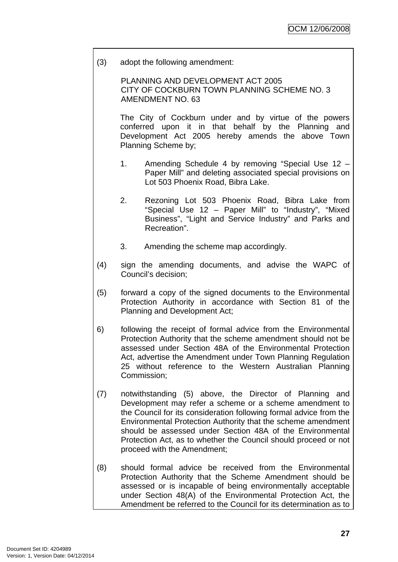(3) adopt the following amendment:

PLANNING AND DEVELOPMENT ACT 2005 CITY OF COCKBURN TOWN PLANNING SCHEME NO. 3 AMENDMENT NO. 63

The City of Cockburn under and by virtue of the powers conferred upon it in that behalf by the Planning and Development Act 2005 hereby amends the above Town Planning Scheme by;

- 1. Amending Schedule 4 by removing "Special Use 12 Paper Mill" and deleting associated special provisions on Lot 503 Phoenix Road, Bibra Lake.
- 2. Rezoning Lot 503 Phoenix Road, Bibra Lake from "Special Use 12 – Paper Mill" to "Industry", "Mixed Business", "Light and Service Industry" and Parks and Recreation".
- 3. Amending the scheme map accordingly.
- (4) sign the amending documents, and advise the WAPC of Council's decision;
- (5) forward a copy of the signed documents to the Environmental Protection Authority in accordance with Section 81 of the Planning and Development Act;
- 6) following the receipt of formal advice from the Environmental Protection Authority that the scheme amendment should not be assessed under Section 48A of the Environmental Protection Act, advertise the Amendment under Town Planning Regulation 25 without reference to the Western Australian Planning Commission;
- (7) notwithstanding (5) above, the Director of Planning and Development may refer a scheme or a scheme amendment to the Council for its consideration following formal advice from the Environmental Protection Authority that the scheme amendment should be assessed under Section 48A of the Environmental Protection Act, as to whether the Council should proceed or not proceed with the Amendment;
- (8) should formal advice be received from the Environmental Protection Authority that the Scheme Amendment should be assessed or is incapable of being environmentally acceptable under Section 48(A) of the Environmental Protection Act, the Amendment be referred to the Council for its determination as to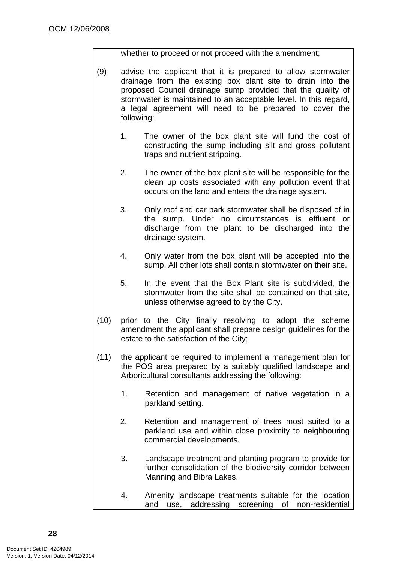whether to proceed or not proceed with the amendment;

- (9) advise the applicant that it is prepared to allow stormwater drainage from the existing box plant site to drain into the proposed Council drainage sump provided that the quality of stormwater is maintained to an acceptable level. In this regard, a legal agreement will need to be prepared to cover the following:
	- 1. The owner of the box plant site will fund the cost of constructing the sump including silt and gross pollutant traps and nutrient stripping.
	- 2. The owner of the box plant site will be responsible for the clean up costs associated with any pollution event that occurs on the land and enters the drainage system.
	- 3. Only roof and car park stormwater shall be disposed of in the sump. Under no circumstances is effluent or discharge from the plant to be discharged into the drainage system.
	- 4. Only water from the box plant will be accepted into the sump. All other lots shall contain stormwater on their site.
	- 5. In the event that the Box Plant site is subdivided, the stormwater from the site shall be contained on that site, unless otherwise agreed to by the City.
- (10) prior to the City finally resolving to adopt the scheme amendment the applicant shall prepare design guidelines for the estate to the satisfaction of the City;
- (11) the applicant be required to implement a management plan for the POS area prepared by a suitably qualified landscape and Arboricultural consultants addressing the following:
	- 1. Retention and management of native vegetation in a parkland setting.
	- 2. Retention and management of trees most suited to a parkland use and within close proximity to neighbouring commercial developments.
	- 3. Landscape treatment and planting program to provide for further consolidation of the biodiversity corridor between Manning and Bibra Lakes.
	- 4. Amenity landscape treatments suitable for the location and use, addressing screening of non-residential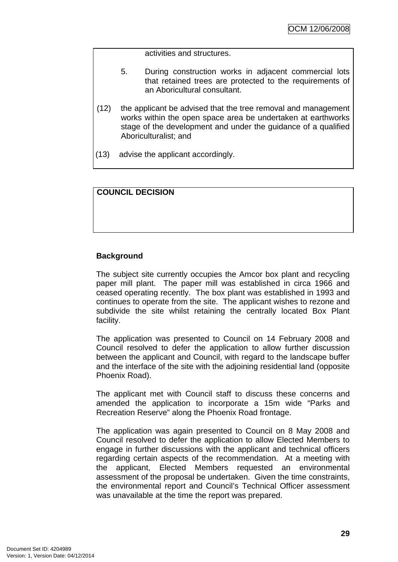activities and structures.

- 5. During construction works in adjacent commercial lots that retained trees are protected to the requirements of an Aboricultural consultant.
- (12) the applicant be advised that the tree removal and management works within the open space area be undertaken at earthworks stage of the development and under the guidance of a qualified Aboriculturalist; and
- (13) advise the applicant accordingly.

#### **COUNCIL DECISION**

## **Background**

The subject site currently occupies the Amcor box plant and recycling paper mill plant. The paper mill was established in circa 1966 and ceased operating recently. The box plant was established in 1993 and continues to operate from the site. The applicant wishes to rezone and subdivide the site whilst retaining the centrally located Box Plant facility.

The application was presented to Council on 14 February 2008 and Council resolved to defer the application to allow further discussion between the applicant and Council, with regard to the landscape buffer and the interface of the site with the adjoining residential land (opposite Phoenix Road).

The applicant met with Council staff to discuss these concerns and amended the application to incorporate a 15m wide "Parks and Recreation Reserve" along the Phoenix Road frontage.

The application was again presented to Council on 8 May 2008 and Council resolved to defer the application to allow Elected Members to engage in further discussions with the applicant and technical officers regarding certain aspects of the recommendation. At a meeting with the applicant, Elected Members requested an environmental assessment of the proposal be undertaken. Given the time constraints, the environmental report and Council's Technical Officer assessment was unavailable at the time the report was prepared.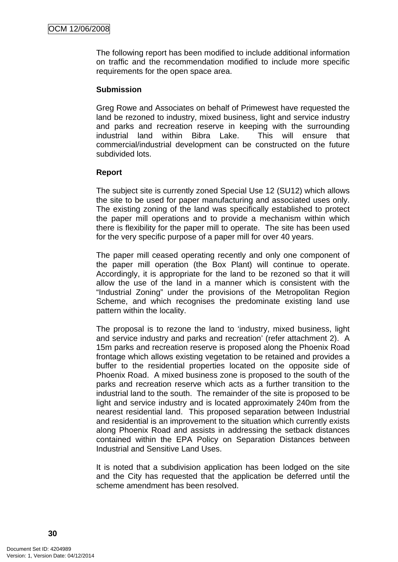The following report has been modified to include additional information on traffic and the recommendation modified to include more specific requirements for the open space area.

#### **Submission**

Greg Rowe and Associates on behalf of Primewest have requested the land be rezoned to industry, mixed business, light and service industry and parks and recreation reserve in keeping with the surrounding industrial land within Bibra Lake. This will ensure that commercial/industrial development can be constructed on the future subdivided lots.

## **Report**

The subject site is currently zoned Special Use 12 (SU12) which allows the site to be used for paper manufacturing and associated uses only. The existing zoning of the land was specifically established to protect the paper mill operations and to provide a mechanism within which there is flexibility for the paper mill to operate. The site has been used for the very specific purpose of a paper mill for over 40 years.

The paper mill ceased operating recently and only one component of the paper mill operation (the Box Plant) will continue to operate. Accordingly, it is appropriate for the land to be rezoned so that it will allow the use of the land in a manner which is consistent with the "Industrial Zoning" under the provisions of the Metropolitan Region Scheme, and which recognises the predominate existing land use pattern within the locality.

The proposal is to rezone the land to 'industry, mixed business, light and service industry and parks and recreation' (refer attachment 2). A 15m parks and recreation reserve is proposed along the Phoenix Road frontage which allows existing vegetation to be retained and provides a buffer to the residential properties located on the opposite side of Phoenix Road. A mixed business zone is proposed to the south of the parks and recreation reserve which acts as a further transition to the industrial land to the south. The remainder of the site is proposed to be light and service industry and is located approximately 240m from the nearest residential land. This proposed separation between Industrial and residential is an improvement to the situation which currently exists along Phoenix Road and assists in addressing the setback distances contained within the EPA Policy on Separation Distances between Industrial and Sensitive Land Uses.

It is noted that a subdivision application has been lodged on the site and the City has requested that the application be deferred until the scheme amendment has been resolved.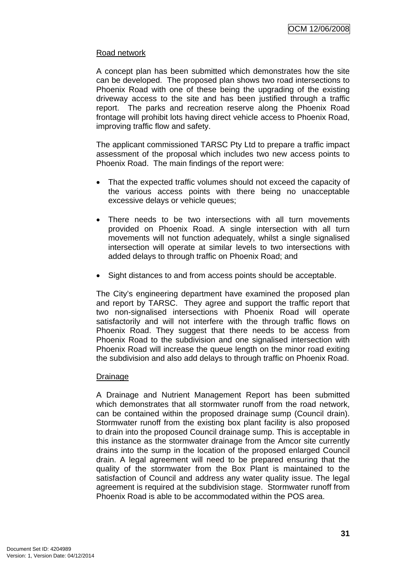## Road network

A concept plan has been submitted which demonstrates how the site can be developed. The proposed plan shows two road intersections to Phoenix Road with one of these being the upgrading of the existing driveway access to the site and has been justified through a traffic report. The parks and recreation reserve along the Phoenix Road frontage will prohibit lots having direct vehicle access to Phoenix Road, improving traffic flow and safety.

The applicant commissioned TARSC Pty Ltd to prepare a traffic impact assessment of the proposal which includes two new access points to Phoenix Road. The main findings of the report were:

- That the expected traffic volumes should not exceed the capacity of the various access points with there being no unacceptable excessive delays or vehicle queues;
- There needs to be two intersections with all turn movements provided on Phoenix Road. A single intersection with all turn movements will not function adequately, whilst a single signalised intersection will operate at similar levels to two intersections with added delays to through traffic on Phoenix Road; and
- Sight distances to and from access points should be acceptable.

The City's engineering department have examined the proposed plan and report by TARSC. They agree and support the traffic report that two non-signalised intersections with Phoenix Road will operate satisfactorily and will not interfere with the through traffic flows on Phoenix Road. They suggest that there needs to be access from Phoenix Road to the subdivision and one signalised intersection with Phoenix Road will increase the queue length on the minor road exiting the subdivision and also add delays to through traffic on Phoenix Road.

## Drainage

A Drainage and Nutrient Management Report has been submitted which demonstrates that all stormwater runoff from the road network, can be contained within the proposed drainage sump (Council drain). Stormwater runoff from the existing box plant facility is also proposed to drain into the proposed Council drainage sump. This is acceptable in this instance as the stormwater drainage from the Amcor site currently drains into the sump in the location of the proposed enlarged Council drain. A legal agreement will need to be prepared ensuring that the quality of the stormwater from the Box Plant is maintained to the satisfaction of Council and address any water quality issue. The legal agreement is required at the subdivision stage. Stormwater runoff from Phoenix Road is able to be accommodated within the POS area.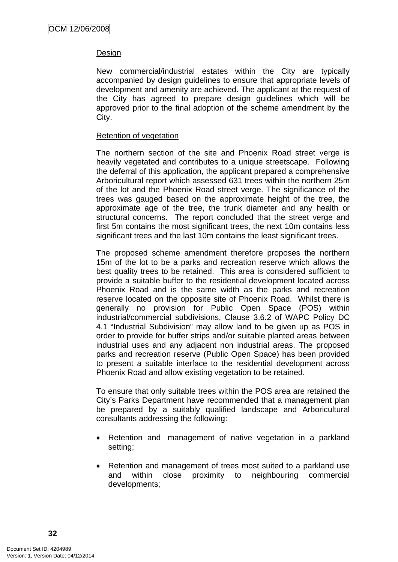### Design

New commercial/industrial estates within the City are typically accompanied by design guidelines to ensure that appropriate levels of development and amenity are achieved. The applicant at the request of the City has agreed to prepare design guidelines which will be approved prior to the final adoption of the scheme amendment by the City.

#### Retention of vegetation

The northern section of the site and Phoenix Road street verge is heavily vegetated and contributes to a unique streetscape. Following the deferral of this application, the applicant prepared a comprehensive Arboricultural report which assessed 631 trees within the northern 25m of the lot and the Phoenix Road street verge. The significance of the trees was gauged based on the approximate height of the tree, the approximate age of the tree, the trunk diameter and any health or structural concerns. The report concluded that the street verge and first 5m contains the most significant trees, the next 10m contains less significant trees and the last 10m contains the least significant trees.

The proposed scheme amendment therefore proposes the northern 15m of the lot to be a parks and recreation reserve which allows the best quality trees to be retained. This area is considered sufficient to provide a suitable buffer to the residential development located across Phoenix Road and is the same width as the parks and recreation reserve located on the opposite site of Phoenix Road. Whilst there is generally no provision for Public Open Space (POS) within industrial/commercial subdivisions, Clause 3.6.2 of WAPC Policy DC 4.1 "Industrial Subdivision" may allow land to be given up as POS in order to provide for buffer strips and/or suitable planted areas between industrial uses and any adjacent non industrial areas. The proposed parks and recreation reserve (Public Open Space) has been provided to present a suitable interface to the residential development across Phoenix Road and allow existing vegetation to be retained.

To ensure that only suitable trees within the POS area are retained the City's Parks Department have recommended that a management plan be prepared by a suitably qualified landscape and Arboricultural consultants addressing the following:

- Retention and management of native vegetation in a parkland setting;
- Retention and management of trees most suited to a parkland use and within close proximity to neighbouring commercial developments;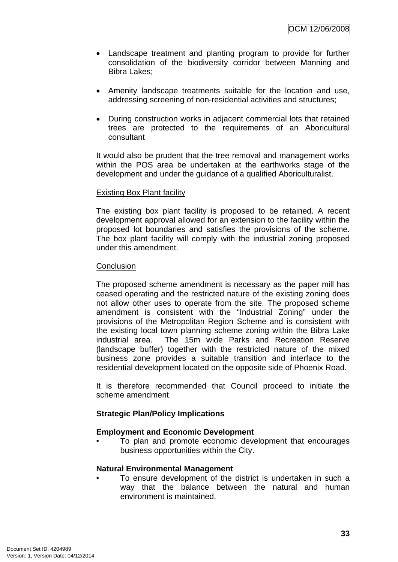- Landscape treatment and planting program to provide for further consolidation of the biodiversity corridor between Manning and Bibra Lakes;
- Amenity landscape treatments suitable for the location and use, addressing screening of non-residential activities and structures;
- During construction works in adjacent commercial lots that retained trees are protected to the requirements of an Aboricultural consultant

It would also be prudent that the tree removal and management works within the POS area be undertaken at the earthworks stage of the development and under the guidance of a qualified Aboriculturalist.

#### Existing Box Plant facility

The existing box plant facility is proposed to be retained. A recent development approval allowed for an extension to the facility within the proposed lot boundaries and satisfies the provisions of the scheme. The box plant facility will comply with the industrial zoning proposed under this amendment.

#### **Conclusion**

The proposed scheme amendment is necessary as the paper mill has ceased operating and the restricted nature of the existing zoning does not allow other uses to operate from the site. The proposed scheme amendment is consistent with the "Industrial Zoning" under the provisions of the Metropolitan Region Scheme and is consistent with the existing local town planning scheme zoning within the Bibra Lake industrial area. The 15m wide Parks and Recreation Reserve (landscape buffer) together with the restricted nature of the mixed business zone provides a suitable transition and interface to the residential development located on the opposite side of Phoenix Road.

It is therefore recommended that Council proceed to initiate the scheme amendment.

#### **Strategic Plan/Policy Implications**

#### **Employment and Economic Development**

• To plan and promote economic development that encourages business opportunities within the City.

#### **Natural Environmental Management**

To ensure development of the district is undertaken in such a way that the balance between the natural and human environment is maintained.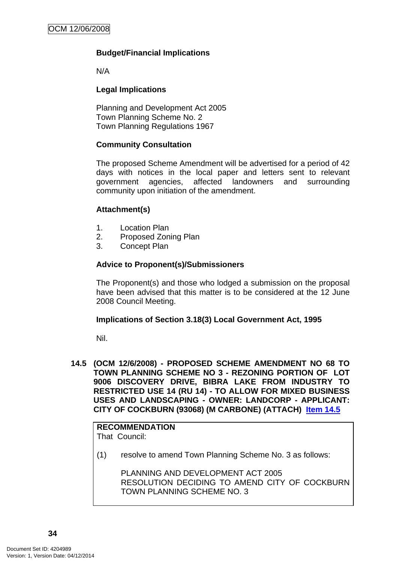## **Budget/Financial Implications**

N/A

### **Legal Implications**

Planning and Development Act 2005 Town Planning Scheme No. 2 Town Planning Regulations 1967

#### **Community Consultation**

The proposed Scheme Amendment will be advertised for a period of 42 days with notices in the local paper and letters sent to relevant government agencies, affected landowners and surrounding community upon initiation of the amendment.

#### **Attachment(s)**

- 1. Location Plan
- 2. Proposed Zoning Plan
- 3. Concept Plan

#### **Advice to Proponent(s)/Submissioners**

The Proponent(s) and those who lodged a submission on the proposal have been advised that this matter is to be considered at the 12 June 2008 Council Meeting.

#### **Implications of Section 3.18(3) Local Government Act, 1995**

Nil.

**14.5 (OCM 12/6/2008) - PROPOSED SCHEME AMENDMENT NO 68 TO TOWN PLANNING SCHEME NO 3 - REZONING PORTION OF LOT 9006 DISCOVERY DRIVE, BIBRA LAKE FROM INDUSTRY TO RESTRICTED USE 14 (RU 14) - TO ALLOW FOR MIXED BUSINESS USES AND LANDSCAPING - OWNER: LANDCORP - APPLICANT: CITY OF COCKBURN (93068) (M CARBONE) (ATTACH) Item 14.5**

# **RECOMMENDATION**

That Council:

(1) resolve to amend Town Planning Scheme No. 3 as follows:

PLANNING AND DEVELOPMENT ACT 2005 RESOLUTION DECIDING TO AMEND CITY OF COCKBURN TOWN PLANNING SCHEME NO. 3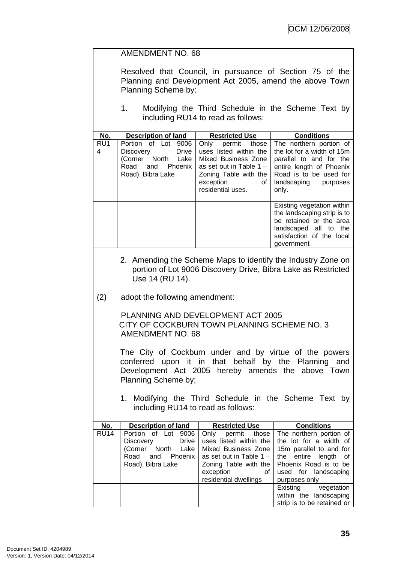|                                                                                             | <b>AMENDMENT NO. 68</b>                                                                                                                                                                    |                                                                                                                                                                         |                                                                                                                                                                                                           |  |
|---------------------------------------------------------------------------------------------|--------------------------------------------------------------------------------------------------------------------------------------------------------------------------------------------|-------------------------------------------------------------------------------------------------------------------------------------------------------------------------|-----------------------------------------------------------------------------------------------------------------------------------------------------------------------------------------------------------|--|
|                                                                                             | Resolved that Council, in pursuance of Section 75 of the<br>Planning and Development Act 2005, amend the above Town<br>Planning Scheme by:                                                 |                                                                                                                                                                         |                                                                                                                                                                                                           |  |
|                                                                                             | 1.                                                                                                                                                                                         | including RU14 to read as follows:                                                                                                                                      | Modifying the Third Schedule in the Scheme Text by                                                                                                                                                        |  |
| No.                                                                                         | <b>Description of land</b>                                                                                                                                                                 | <b>Restricted Use</b>                                                                                                                                                   | <b>Conditions</b>                                                                                                                                                                                         |  |
| RU1<br>4                                                                                    | Portion of Lot 9006<br><b>Drive</b><br>Discovery<br>(Corner North Lake<br>Road<br>and Phoenix<br>Road), Bibra Lake                                                                         | Only<br>permit those<br>uses listed within the<br>Mixed Business Zone<br>as set out in Table $1 -$<br>Zoning Table with the<br>exception<br>οf<br>residential uses.     | The northern portion of<br>the lot for a width of 15m<br>parallel to and for the<br>entire length of Phoenix<br>Road is to be used for<br>landscaping purposes<br>only.                                   |  |
|                                                                                             |                                                                                                                                                                                            |                                                                                                                                                                         | Existing vegetation within<br>the landscaping strip is to<br>be retained or the area<br>landscaped all to the<br>satisfaction of the local<br>government                                                  |  |
|                                                                                             | Use 14 (RU 14).                                                                                                                                                                            |                                                                                                                                                                         | 2. Amending the Scheme Maps to identify the Industry Zone on<br>portion of Lot 9006 Discovery Drive, Bibra Lake as Restricted                                                                             |  |
| (2)                                                                                         | adopt the following amendment:                                                                                                                                                             |                                                                                                                                                                         |                                                                                                                                                                                                           |  |
|                                                                                             | PLANNING AND DEVELOPMENT ACT 2005<br>CITY OF COCKBURN TOWN PLANNING SCHEME NO. 3<br><b>AMENDMENT NO. 68</b>                                                                                |                                                                                                                                                                         |                                                                                                                                                                                                           |  |
|                                                                                             | The City of Cockburn under and by virtue of the powers<br>conferred upon it in that behalf by the Planning and<br>Development Act 2005 hereby amends the above Town<br>Planning Scheme by; |                                                                                                                                                                         |                                                                                                                                                                                                           |  |
| 1. Modifying the Third Schedule in the Scheme Text by<br>including RU14 to read as follows: |                                                                                                                                                                                            |                                                                                                                                                                         |                                                                                                                                                                                                           |  |
| No.                                                                                         | <b>Description of land</b>                                                                                                                                                                 | <b>Restricted Use</b>                                                                                                                                                   | <b>Conditions</b>                                                                                                                                                                                         |  |
| <b>RU14</b>                                                                                 | Portion of Lot 9006<br><b>Drive</b><br>Discovery<br>North<br>(Corner<br>Lake<br>Road<br>and<br>Phoenix<br>Road), Bibra Lake                                                                | Only permit<br>those<br>uses listed within the<br>Mixed Business Zone<br>as set out in Table $1 -$<br>Zoning Table with the<br>exception<br>0f<br>residential dwellings | The northern portion of<br>the lot for a width of<br>15m parallel to and for<br>entire<br>length<br>the<br>οf<br>Phoenix Road is to be<br>used for landscaping<br>purposes only<br>vegetation<br>Existing |  |
|                                                                                             |                                                                                                                                                                                            |                                                                                                                                                                         | within the landscaping<br>strip is to be retained or                                                                                                                                                      |  |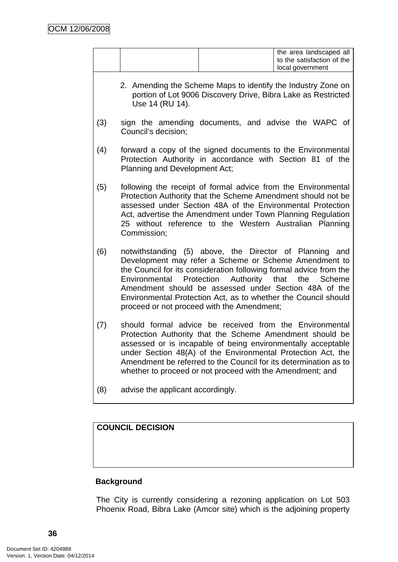|     | the area landscaped all<br>to the satisfaction of the<br>local government                                                                                                                                                                                                                                                                                                                                             |
|-----|-----------------------------------------------------------------------------------------------------------------------------------------------------------------------------------------------------------------------------------------------------------------------------------------------------------------------------------------------------------------------------------------------------------------------|
|     | 2. Amending the Scheme Maps to identify the Industry Zone on<br>portion of Lot 9006 Discovery Drive, Bibra Lake as Restricted<br>Use 14 (RU 14).                                                                                                                                                                                                                                                                      |
| (3) | sign the amending documents, and advise the WAPC of<br>Council's decision;                                                                                                                                                                                                                                                                                                                                            |
| (4) | forward a copy of the signed documents to the Environmental<br>Protection Authority in accordance with Section 81 of the<br>Planning and Development Act;                                                                                                                                                                                                                                                             |
| (5) | following the receipt of formal advice from the Environmental<br>Protection Authority that the Scheme Amendment should not be<br>assessed under Section 48A of the Environmental Protection<br>Act, advertise the Amendment under Town Planning Regulation<br>25 without reference to the Western Australian Planning<br>Commission;                                                                                  |
| (6) | notwithstanding (5) above, the Director of Planning and<br>Development may refer a Scheme or Scheme Amendment to<br>the Council for its consideration following formal advice from the<br>Environmental Protection Authority that the Scheme<br>Amendment should be assessed under Section 48A of the<br>Environmental Protection Act, as to whether the Council should<br>proceed or not proceed with the Amendment; |
| (7) | should formal advice be received from the Environmental<br>Protection Authority that the Scheme Amendment should be<br>assessed or is incapable of being environmentally acceptable<br>under Section 48(A) of the Environmental Protection Act, the<br>Amendment be referred to the Council for its determination as to<br>whether to proceed or not proceed with the Amendment; and                                  |
| (8) | advise the applicant accordingly.                                                                                                                                                                                                                                                                                                                                                                                     |

**COUNCIL DECISION**

# **Background**

The City is currently considering a rezoning application on Lot 503 Phoenix Road, Bibra Lake (Amcor site) which is the adjoining property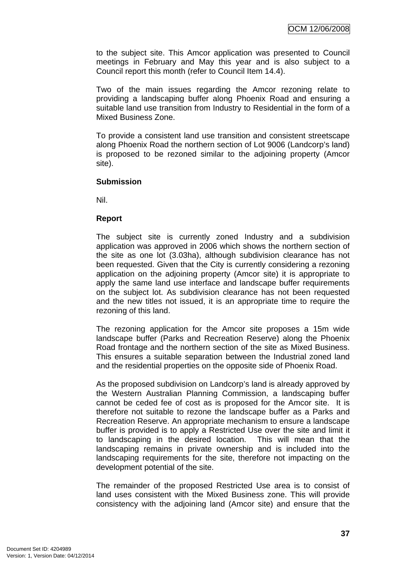to the subject site. This Amcor application was presented to Council meetings in February and May this year and is also subject to a Council report this month (refer to Council Item 14.4).

Two of the main issues regarding the Amcor rezoning relate to providing a landscaping buffer along Phoenix Road and ensuring a suitable land use transition from Industry to Residential in the form of a Mixed Business Zone.

To provide a consistent land use transition and consistent streetscape along Phoenix Road the northern section of Lot 9006 (Landcorp's land) is proposed to be rezoned similar to the adjoining property (Amcor site).

## **Submission**

Nil.

## **Report**

The subject site is currently zoned Industry and a subdivision application was approved in 2006 which shows the northern section of the site as one lot (3.03ha), although subdivision clearance has not been requested. Given that the City is currently considering a rezoning application on the adjoining property (Amcor site) it is appropriate to apply the same land use interface and landscape buffer requirements on the subject lot. As subdivision clearance has not been requested and the new titles not issued, it is an appropriate time to require the rezoning of this land.

The rezoning application for the Amcor site proposes a 15m wide landscape buffer (Parks and Recreation Reserve) along the Phoenix Road frontage and the northern section of the site as Mixed Business. This ensures a suitable separation between the Industrial zoned land and the residential properties on the opposite side of Phoenix Road.

As the proposed subdivision on Landcorp's land is already approved by the Western Australian Planning Commission, a landscaping buffer cannot be ceded fee of cost as is proposed for the Amcor site. It is therefore not suitable to rezone the landscape buffer as a Parks and Recreation Reserve. An appropriate mechanism to ensure a landscape buffer is provided is to apply a Restricted Use over the site and limit it to landscaping in the desired location. This will mean that the landscaping remains in private ownership and is included into the landscaping requirements for the site, therefore not impacting on the development potential of the site.

The remainder of the proposed Restricted Use area is to consist of land uses consistent with the Mixed Business zone. This will provide consistency with the adjoining land (Amcor site) and ensure that the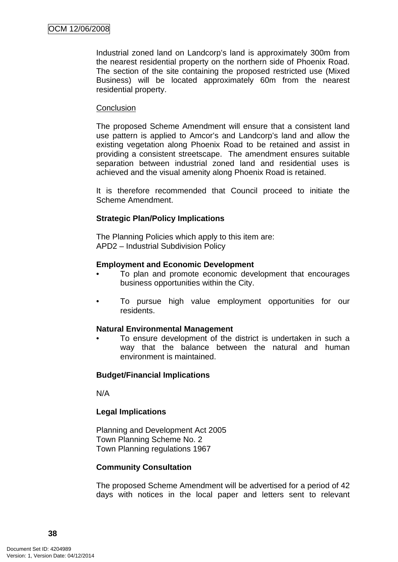Industrial zoned land on Landcorp's land is approximately 300m from the nearest residential property on the northern side of Phoenix Road. The section of the site containing the proposed restricted use (Mixed Business) will be located approximately 60m from the nearest residential property.

#### **Conclusion**

The proposed Scheme Amendment will ensure that a consistent land use pattern is applied to Amcor's and Landcorp's land and allow the existing vegetation along Phoenix Road to be retained and assist in providing a consistent streetscape. The amendment ensures suitable separation between industrial zoned land and residential uses is achieved and the visual amenity along Phoenix Road is retained.

It is therefore recommended that Council proceed to initiate the Scheme Amendment.

#### **Strategic Plan/Policy Implications**

The Planning Policies which apply to this item are: APD2 – Industrial Subdivision Policy

#### **Employment and Economic Development**

- To plan and promote economic development that encourages business opportunities within the City.
- To pursue high value employment opportunities for our residents.

#### **Natural Environmental Management**

To ensure development of the district is undertaken in such a way that the balance between the natural and human environment is maintained.

#### **Budget/Financial Implications**

N/A

#### **Legal Implications**

Planning and Development Act 2005 Town Planning Scheme No. 2 Town Planning regulations 1967

#### **Community Consultation**

The proposed Scheme Amendment will be advertised for a period of 42 days with notices in the local paper and letters sent to relevant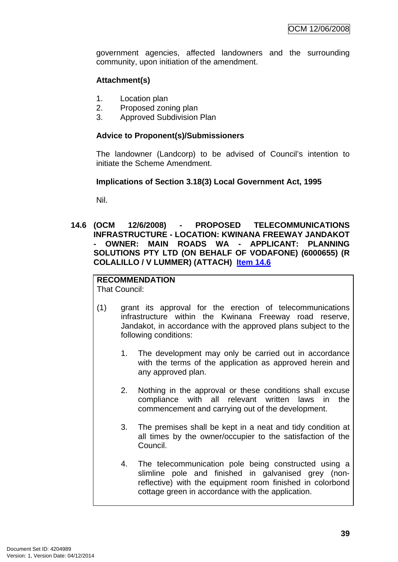government agencies, affected landowners and the surrounding community, upon initiation of the amendment.

## **Attachment(s)**

- 1. Location plan
- 2. Proposed zoning plan
- 3. Approved Subdivision Plan

#### **Advice to Proponent(s)/Submissioners**

The landowner (Landcorp) to be advised of Council's intention to initiate the Scheme Amendment.

#### **Implications of Section 3.18(3) Local Government Act, 1995**

Nil.

**14.6 (OCM 12/6/2008) - PROPOSED TELECOMMUNICATIONS INFRASTRUCTURE - LOCATION: KWINANA FREEWAY JANDAKOT - OWNER: MAIN ROADS WA - APPLICANT: PLANNING SOLUTIONS PTY LTD (ON BEHALF OF VODAFONE) (6000655) (R COLALILLO / V LUMMER) (ATTACH) Item 14.6**

# **RECOMMENDATION**

That Council:

- (1) grant its approval for the erection of telecommunications infrastructure within the Kwinana Freeway road reserve, Jandakot, in accordance with the approved plans subject to the following conditions:
	- 1. The development may only be carried out in accordance with the terms of the application as approved herein and any approved plan.
	- 2. Nothing in the approval or these conditions shall excuse compliance with all relevant written laws in the commencement and carrying out of the development.
	- 3. The premises shall be kept in a neat and tidy condition at all times by the owner/occupier to the satisfaction of the Council.
	- 4. The telecommunication pole being constructed using a slimline pole and finished in galvanised grey (nonreflective) with the equipment room finished in colorbond cottage green in accordance with the application.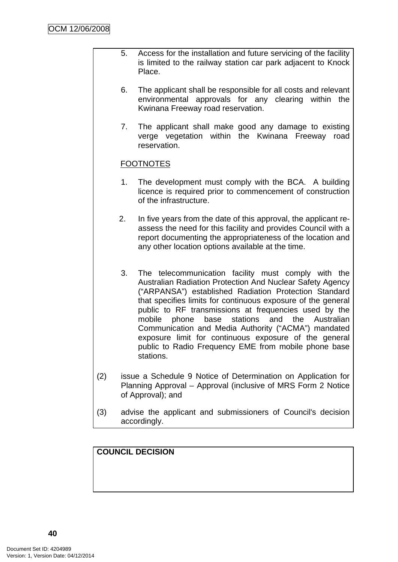- 5. Access for the installation and future servicing of the facility is limited to the railway station car park adjacent to Knock Place.
- 6. The applicant shall be responsible for all costs and relevant environmental approvals for any clearing within the Kwinana Freeway road reservation.
- 7. The applicant shall make good any damage to existing verge vegetation within the Kwinana Freeway road reservation.

# FOOTNOTES

- 1. The development must comply with the BCA. A building licence is required prior to commencement of construction of the infrastructure.
- 2. In five years from the date of this approval, the applicant reassess the need for this facility and provides Council with a report documenting the appropriateness of the location and any other location options available at the time.
- 3. The telecommunication facility must comply with the Australian Radiation Protection And Nuclear Safety Agency ("ARPANSA") established Radiation Protection Standard that specifies limits for continuous exposure of the general public to RF transmissions at frequencies used by the mobile phone base stations and the Australian Communication and Media Authority ("ACMA") mandated exposure limit for continuous exposure of the general public to Radio Frequency EME from mobile phone base stations.
- (2) issue a Schedule 9 Notice of Determination on Application for Planning Approval – Approval (inclusive of MRS Form 2 Notice of Approval); and
- (3) advise the applicant and submissioners of Council's decision accordingly.

**COUNCIL DECISION**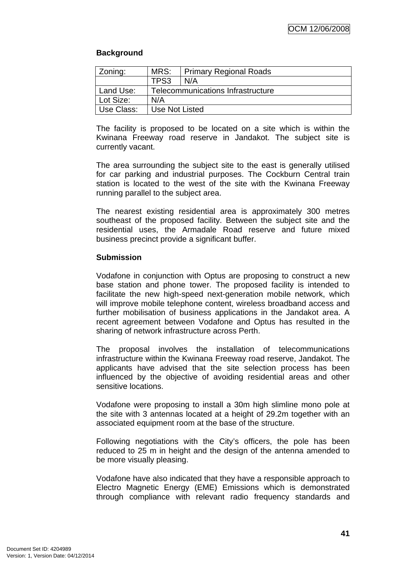## **Background**

| Zoning:    | MRS:<br><b>Primary Regional Roads</b> |     |  |
|------------|---------------------------------------|-----|--|
|            | TPS3                                  | N/A |  |
| Land Use:  | Telecommunications Infrastructure     |     |  |
| Lot Size:  | N/A                                   |     |  |
| Use Class: | Use Not Listed                        |     |  |

The facility is proposed to be located on a site which is within the Kwinana Freeway road reserve in Jandakot. The subject site is currently vacant.

The area surrounding the subject site to the east is generally utilised for car parking and industrial purposes. The Cockburn Central train station is located to the west of the site with the Kwinana Freeway running parallel to the subject area.

The nearest existing residential area is approximately 300 metres southeast of the proposed facility. Between the subject site and the residential uses, the Armadale Road reserve and future mixed business precinct provide a significant buffer.

#### **Submission**

Vodafone in conjunction with Optus are proposing to construct a new base station and phone tower. The proposed facility is intended to facilitate the new high-speed next-generation mobile network, which will improve mobile telephone content, wireless broadband access and further mobilisation of business applications in the Jandakot area. A recent agreement between Vodafone and Optus has resulted in the sharing of network infrastructure across Perth.

The proposal involves the installation of telecommunications infrastructure within the Kwinana Freeway road reserve, Jandakot. The applicants have advised that the site selection process has been influenced by the objective of avoiding residential areas and other sensitive locations.

Vodafone were proposing to install a 30m high slimline mono pole at the site with 3 antennas located at a height of 29.2m together with an associated equipment room at the base of the structure.

Following negotiations with the City's officers, the pole has been reduced to 25 m in height and the design of the antenna amended to be more visually pleasing.

Vodafone have also indicated that they have a responsible approach to Electro Magnetic Energy (EME) Emissions which is demonstrated through compliance with relevant radio frequency standards and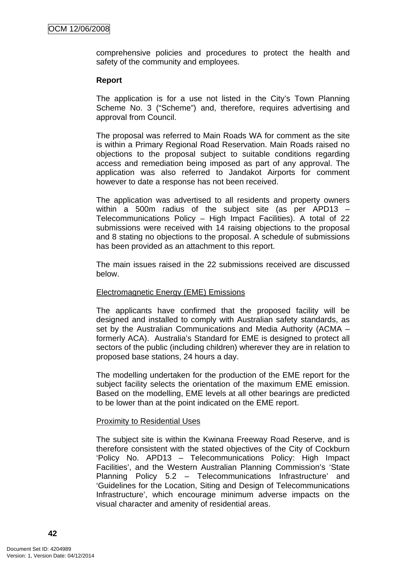comprehensive policies and procedures to protect the health and safety of the community and employees.

#### **Report**

The application is for a use not listed in the City's Town Planning Scheme No. 3 ("Scheme") and, therefore, requires advertising and approval from Council.

The proposal was referred to Main Roads WA for comment as the site is within a Primary Regional Road Reservation. Main Roads raised no objections to the proposal subject to suitable conditions regarding access and remediation being imposed as part of any approval. The application was also referred to Jandakot Airports for comment however to date a response has not been received.

The application was advertised to all residents and property owners within a 500m radius of the subject site (as per APD13 – Telecommunications Policy – High Impact Facilities). A total of 22 submissions were received with 14 raising objections to the proposal and 8 stating no objections to the proposal. A schedule of submissions has been provided as an attachment to this report.

The main issues raised in the 22 submissions received are discussed below.

#### Electromagnetic Energy (EME) Emissions

The applicants have confirmed that the proposed facility will be designed and installed to comply with Australian safety standards, as set by the Australian Communications and Media Authority (ACMA – formerly ACA). Australia's Standard for EME is designed to protect all sectors of the public (including children) wherever they are in relation to proposed base stations, 24 hours a day.

The modelling undertaken for the production of the EME report for the subject facility selects the orientation of the maximum EME emission. Based on the modelling, EME levels at all other bearings are predicted to be lower than at the point indicated on the EME report.

#### Proximity to Residential Uses

The subject site is within the Kwinana Freeway Road Reserve, and is therefore consistent with the stated objectives of the City of Cockburn 'Policy No. APD13 – Telecommunications Policy: High Impact Facilities', and the Western Australian Planning Commission's 'State Planning Policy 5.2 – Telecommunications Infrastructure' and 'Guidelines for the Location, Siting and Design of Telecommunications Infrastructure', which encourage minimum adverse impacts on the visual character and amenity of residential areas.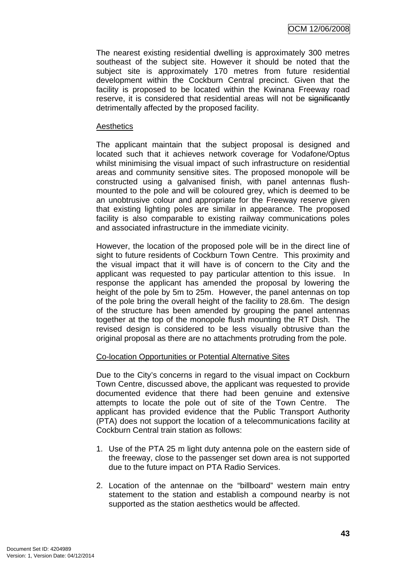The nearest existing residential dwelling is approximately 300 metres southeast of the subject site. However it should be noted that the subject site is approximately 170 metres from future residential development within the Cockburn Central precinct. Given that the facility is proposed to be located within the Kwinana Freeway road reserve, it is considered that residential areas will not be significantly detrimentally affected by the proposed facility.

#### **Aesthetics**

The applicant maintain that the subject proposal is designed and located such that it achieves network coverage for Vodafone/Optus whilst minimising the visual impact of such infrastructure on residential areas and community sensitive sites. The proposed monopole will be constructed using a galvanised finish, with panel antennas flushmounted to the pole and will be coloured grey, which is deemed to be an unobtrusive colour and appropriate for the Freeway reserve given that existing lighting poles are similar in appearance. The proposed facility is also comparable to existing railway communications poles and associated infrastructure in the immediate vicinity.

However, the location of the proposed pole will be in the direct line of sight to future residents of Cockburn Town Centre. This proximity and the visual impact that it will have is of concern to the City and the applicant was requested to pay particular attention to this issue. In response the applicant has amended the proposal by lowering the height of the pole by 5m to 25m. However, the panel antennas on top of the pole bring the overall height of the facility to 28.6m. The design of the structure has been amended by grouping the panel antennas together at the top of the monopole flush mounting the RT Dish. The revised design is considered to be less visually obtrusive than the original proposal as there are no attachments protruding from the pole.

#### Co-location Opportunities or Potential Alternative Sites

Due to the City's concerns in regard to the visual impact on Cockburn Town Centre, discussed above, the applicant was requested to provide documented evidence that there had been genuine and extensive attempts to locate the pole out of site of the Town Centre. The applicant has provided evidence that the Public Transport Authority (PTA) does not support the location of a telecommunications facility at Cockburn Central train station as follows:

- 1. Use of the PTA 25 m light duty antenna pole on the eastern side of the freeway, close to the passenger set down area is not supported due to the future impact on PTA Radio Services.
- 2. Location of the antennae on the "billboard" western main entry statement to the station and establish a compound nearby is not supported as the station aesthetics would be affected.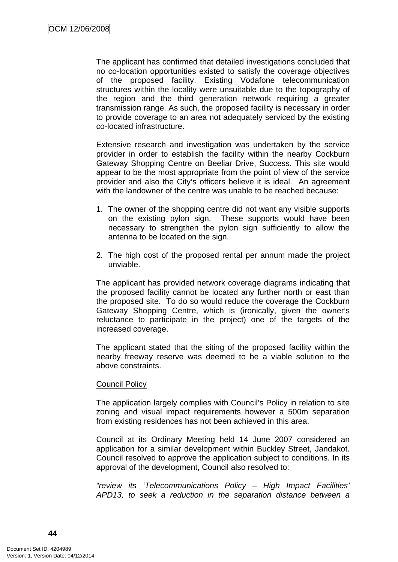The applicant has confirmed that detailed investigations concluded that no co-location opportunities existed to satisfy the coverage objectives of the proposed facility. Existing Vodafone telecommunication structures within the locality were unsuitable due to the topography of the region and the third generation network requiring a greater transmission range. As such, the proposed facility is necessary in order to provide coverage to an area not adequately serviced by the existing co-located infrastructure.

Extensive research and investigation was undertaken by the service provider in order to establish the facility within the nearby Cockburn Gateway Shopping Centre on Beeliar Drive, Success. This site would appear to be the most appropriate from the point of view of the service provider and also the City's officers believe it is ideal. An agreement with the landowner of the centre was unable to be reached because:

- 1. The owner of the shopping centre did not want any visible supports on the existing pylon sign. These supports would have been necessary to strengthen the pylon sign sufficiently to allow the antenna to be located on the sign.
- 2. The high cost of the proposed rental per annum made the project unviable.

The applicant has provided network coverage diagrams indicating that the proposed facility cannot be located any further north or east than the proposed site. To do so would reduce the coverage the Cockburn Gateway Shopping Centre, which is (ironically, given the owner's reluctance to participate in the project) one of the targets of the increased coverage.

The applicant stated that the siting of the proposed facility within the nearby freeway reserve was deemed to be a viable solution to the above constraints.

#### Council Policy

The application largely complies with Council's Policy in relation to site zoning and visual impact requirements however a 500m separation from existing residences has not been achieved in this area.

Council at its Ordinary Meeting held 14 June 2007 considered an application for a similar development within Buckley Street, Jandakot. Council resolved to approve the application subject to conditions. In its approval of the development, Council also resolved to:

*"review its 'Telecommunications Policy – High Impact Facilities' APD13, to seek a reduction in the separation distance between a*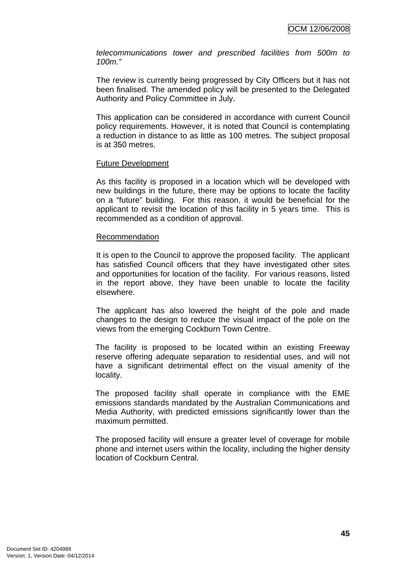*telecommunications tower and prescribed facilities from 500m to 100m."* 

The review is currently being progressed by City Officers but it has not been finalised. The amended policy will be presented to the Delegated Authority and Policy Committee in July.

This application can be considered in accordance with current Council policy requirements. However, it is noted that Council is contemplating a reduction in distance to as little as 100 metres. The subject proposal is at 350 metres.

#### Future Development

As this facility is proposed in a location which will be developed with new buildings in the future, there may be options to locate the facility on a "future" building. For this reason, it would be beneficial for the applicant to revisit the location of this facility in 5 years time. This is recommended as a condition of approval.

#### Recommendation

It is open to the Council to approve the proposed facility. The applicant has satisfied Council officers that they have investigated other sites and opportunities for location of the facility. For various reasons, listed in the report above, they have been unable to locate the facility elsewhere.

The applicant has also lowered the height of the pole and made changes to the design to reduce the visual impact of the pole on the views from the emerging Cockburn Town Centre.

The facility is proposed to be located within an existing Freeway reserve offering adequate separation to residential uses, and will not have a significant detrimental effect on the visual amenity of the locality.

The proposed facility shall operate in compliance with the EME emissions standards mandated by the Australian Communications and Media Authority, with predicted emissions significantly lower than the maximum permitted.

The proposed facility will ensure a greater level of coverage for mobile phone and internet users within the locality, including the higher density location of Cockburn Central.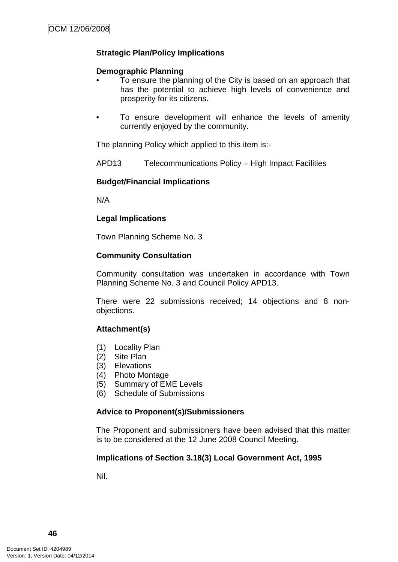# **Strategic Plan/Policy Implications**

### **Demographic Planning**

- To ensure the planning of the City is based on an approach that has the potential to achieve high levels of convenience and prosperity for its citizens.
- To ensure development will enhance the levels of amenity currently enjoyed by the community.

The planning Policy which applied to this item is:-

APD13 Telecommunications Policy – High Impact Facilities

# **Budget/Financial Implications**

N/A

# **Legal Implications**

Town Planning Scheme No. 3

## **Community Consultation**

Community consultation was undertaken in accordance with Town Planning Scheme No. 3 and Council Policy APD13.

There were 22 submissions received; 14 objections and 8 nonobjections.

# **Attachment(s)**

- (1) Locality Plan
- (2) Site Plan
- (3) Elevations
- (4) Photo Montage
- (5) Summary of EME Levels
- (6) Schedule of Submissions

# **Advice to Proponent(s)/Submissioners**

The Proponent and submissioners have been advised that this matter is to be considered at the 12 June 2008 Council Meeting.

#### **Implications of Section 3.18(3) Local Government Act, 1995**

Nil.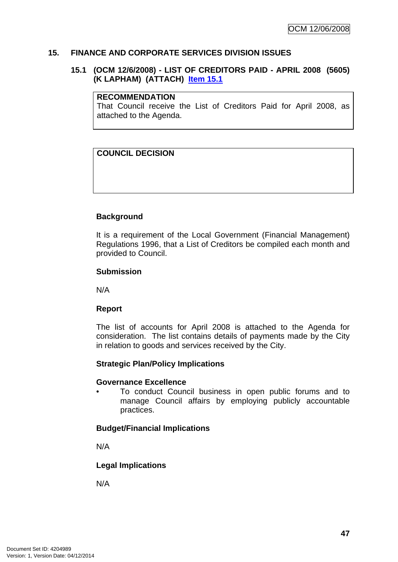### **15. FINANCE AND CORPORATE SERVICES DIVISION ISSUES**

## **15.1 (OCM 12/6/2008) - LIST OF CREDITORS PAID - APRIL 2008 (5605) (K LAPHAM) (ATTACH) Item 15.1**

#### **RECOMMENDATION**

That Council receive the List of Creditors Paid for April 2008, as attached to the Agenda.

# **COUNCIL DECISION**

## **Background**

It is a requirement of the Local Government (Financial Management) Regulations 1996, that a List of Creditors be compiled each month and provided to Council.

#### **Submission**

N/A

#### **Report**

The list of accounts for April 2008 is attached to the Agenda for consideration. The list contains details of payments made by the City in relation to goods and services received by the City.

#### **Strategic Plan/Policy Implications**

#### **Governance Excellence**

• To conduct Council business in open public forums and to manage Council affairs by employing publicly accountable practices.

#### **Budget/Financial Implications**

N/A

#### **Legal Implications**

N/A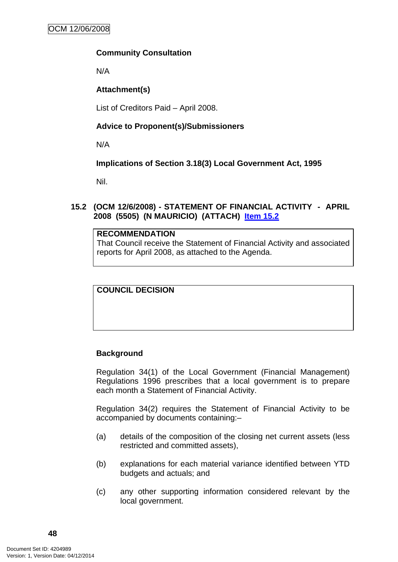## **Community Consultation**

N/A

## **Attachment(s)**

List of Creditors Paid – April 2008.

## **Advice to Proponent(s)/Submissioners**

N/A

## **Implications of Section 3.18(3) Local Government Act, 1995**

Nil.

## **15.2 (OCM 12/6/2008) - STATEMENT OF FINANCIAL ACTIVITY - APRIL 2008 (5505) (N MAURICIO) (ATTACH) Item 15.2**

#### **RECOMMENDATION**

That Council receive the Statement of Financial Activity and associated reports for April 2008, as attached to the Agenda.

**COUNCIL DECISION**

# **Background**

Regulation 34(1) of the Local Government (Financial Management) Regulations 1996 prescribes that a local government is to prepare each month a Statement of Financial Activity.

Regulation 34(2) requires the Statement of Financial Activity to be accompanied by documents containing:–

- (a) details of the composition of the closing net current assets (less restricted and committed assets),
- (b) explanations for each material variance identified between YTD budgets and actuals; and
- (c) any other supporting information considered relevant by the local government.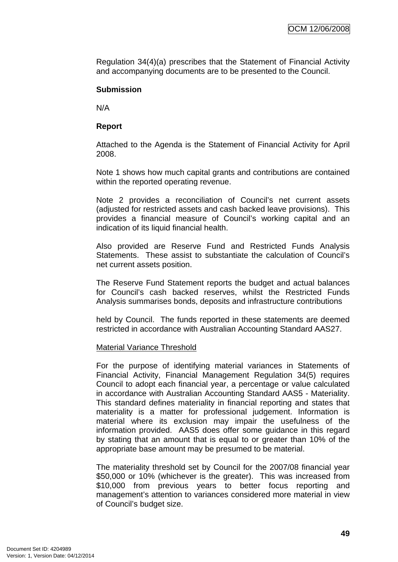Regulation 34(4)(a) prescribes that the Statement of Financial Activity and accompanying documents are to be presented to the Council.

#### **Submission**

N/A

### **Report**

Attached to the Agenda is the Statement of Financial Activity for April 2008.

Note 1 shows how much capital grants and contributions are contained within the reported operating revenue.

Note 2 provides a reconciliation of Council's net current assets (adjusted for restricted assets and cash backed leave provisions). This provides a financial measure of Council's working capital and an indication of its liquid financial health.

Also provided are Reserve Fund and Restricted Funds Analysis Statements. These assist to substantiate the calculation of Council's net current assets position.

The Reserve Fund Statement reports the budget and actual balances for Council's cash backed reserves, whilst the Restricted Funds Analysis summarises bonds, deposits and infrastructure contributions

held by Council. The funds reported in these statements are deemed restricted in accordance with Australian Accounting Standard AAS27.

#### Material Variance Threshold

For the purpose of identifying material variances in Statements of Financial Activity, Financial Management Regulation 34(5) requires Council to adopt each financial year, a percentage or value calculated in accordance with Australian Accounting Standard AAS5 - Materiality. This standard defines materiality in financial reporting and states that materiality is a matter for professional judgement. Information is material where its exclusion may impair the usefulness of the information provided. AAS5 does offer some guidance in this regard by stating that an amount that is equal to or greater than 10% of the appropriate base amount may be presumed to be material.

The materiality threshold set by Council for the 2007/08 financial year \$50,000 or 10% (whichever is the greater). This was increased from \$10,000 from previous years to better focus reporting and management's attention to variances considered more material in view of Council's budget size.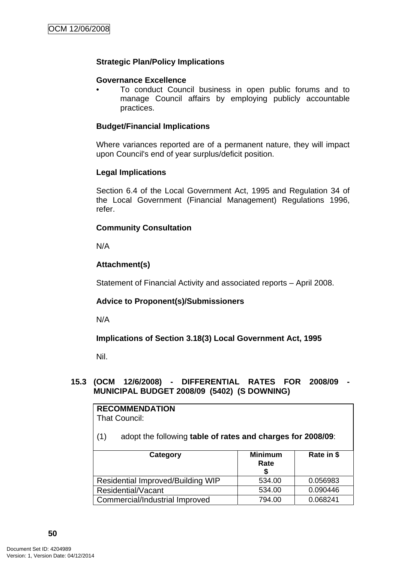## **Strategic Plan/Policy Implications**

### **Governance Excellence**

• To conduct Council business in open public forums and to manage Council affairs by employing publicly accountable practices.

### **Budget/Financial Implications**

Where variances reported are of a permanent nature, they will impact upon Council's end of year surplus/deficit position.

#### **Legal Implications**

Section 6.4 of the Local Government Act, 1995 and Regulation 34 of the Local Government (Financial Management) Regulations 1996, refer.

## **Community Consultation**

N/A

# **Attachment(s)**

Statement of Financial Activity and associated reports – April 2008.

#### **Advice to Proponent(s)/Submissioners**

N/A

**Implications of Section 3.18(3) Local Government Act, 1995**

Nil.

## **15.3 (OCM 12/6/2008) - DIFFERENTIAL RATES FOR 2008/09 - MUNICIPAL BUDGET 2008/09 (5402) (S DOWNING)**

# **RECOMMENDATION**

That Council:

(1) adopt the following **table of rates and charges for 2008/09**:

| Category                          | <b>Minimum</b><br>Rate | Rate in \$ |
|-----------------------------------|------------------------|------------|
| Residential Improved/Building WIP | 534.00                 | 0.056983   |
| Residential/Vacant                | 534.00                 | 0.090446   |
| Commercial/Industrial Improved    | 794.00                 | 0.068241   |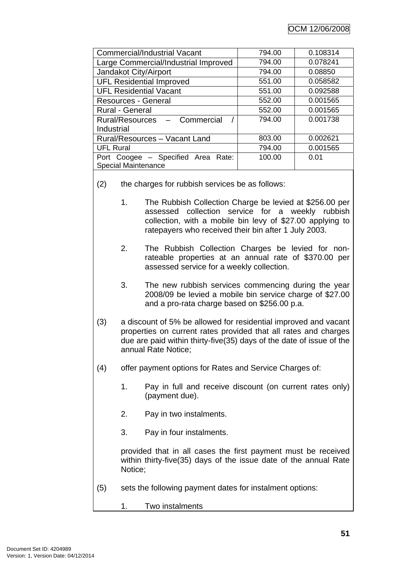| <b>Commercial/Industrial Vacant</b>  | 794.00 | 0.108314 |
|--------------------------------------|--------|----------|
| Large Commercial/Industrial Improved | 794.00 | 0.078241 |
| Jandakot City/Airport                | 794.00 | 0.08850  |
| <b>UFL Residential Improved</b>      | 551.00 | 0.058582 |
| <b>UFL Residential Vacant</b>        | 551.00 | 0.092588 |
| Resources - General                  | 552.00 | 0.001565 |
| <b>Rural - General</b>               | 552.00 | 0.001565 |
| Rural/Resources - Commercial         | 794.00 | 0.001738 |
| Industrial                           |        |          |
| Rural/Resources - Vacant Land        | 803.00 | 0.002621 |
| <b>UFL Rural</b>                     | 794.00 | 0.001565 |
| Port Coogee - Specified Area Rate:   | 100.00 | 0.01     |
| <b>Special Maintenance</b>           |        |          |

- (2) the charges for rubbish services be as follows:
	- 1. The Rubbish Collection Charge be levied at \$256.00 per assessed collection service for a weekly rubbish collection, with a mobile bin levy of \$27.00 applying to ratepayers who received their bin after 1 July 2003.
	- 2. The Rubbish Collection Charges be levied for nonrateable properties at an annual rate of \$370.00 per assessed service for a weekly collection.
	- 3. The new rubbish services commencing during the year 2008/09 be levied a mobile bin service charge of \$27.00 and a pro-rata charge based on \$256.00 p.a.
- (3) a discount of 5% be allowed for residential improved and vacant properties on current rates provided that all rates and charges due are paid within thirty-five(35) days of the date of issue of the annual Rate Notice;
- (4) offer payment options for Rates and Service Charges of:
	- 1. Pay in full and receive discount (on current rates only) (payment due).
	- 2. Pay in two instalments.
	- 3. Pay in four instalments.

provided that in all cases the first payment must be received within thirty-five(35) days of the issue date of the annual Rate Notice;

- (5) sets the following payment dates for instalment options:
	- 1. Two instalments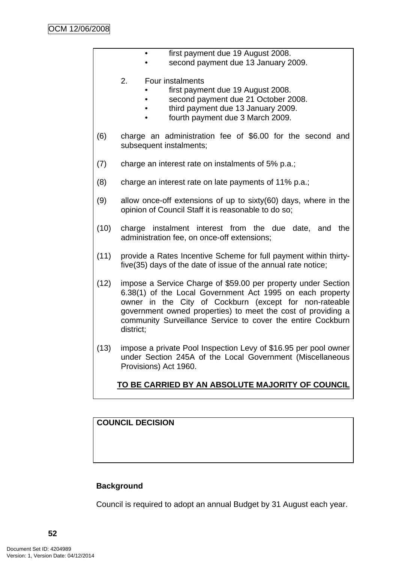|      | first payment due 19 August 2008.<br>second payment due 13 January 2009.                                                                                                                                                                                                                                                         |
|------|----------------------------------------------------------------------------------------------------------------------------------------------------------------------------------------------------------------------------------------------------------------------------------------------------------------------------------|
|      | 2.<br>Four instalments<br>first payment due 19 August 2008.<br>second payment due 21 October 2008.<br>third payment due 13 January 2009.<br>fourth payment due 3 March 2009.                                                                                                                                                     |
| (6)  | charge an administration fee of \$6.00 for the second and<br>subsequent instalments;                                                                                                                                                                                                                                             |
| (7)  | charge an interest rate on instalments of 5% p.a.;                                                                                                                                                                                                                                                                               |
| (8)  | charge an interest rate on late payments of 11% p.a.;                                                                                                                                                                                                                                                                            |
| (9)  | allow once-off extensions of up to sixty(60) days, where in the<br>opinion of Council Staff it is reasonable to do so;                                                                                                                                                                                                           |
| (10) | charge instalment interest from the due date, and the<br>administration fee, on once-off extensions;                                                                                                                                                                                                                             |
| (11) | provide a Rates Incentive Scheme for full payment within thirty-<br>five (35) days of the date of issue of the annual rate notice;                                                                                                                                                                                               |
| (12) | impose a Service Charge of \$59.00 per property under Section<br>6.38(1) of the Local Government Act 1995 on each property<br>owner in the City of Cockburn (except for non-rateable<br>government owned properties) to meet the cost of providing a<br>community Surveillance Service to cover the entire Cockburn<br>district; |
| (13) | impose a private Pool Inspection Levy of \$16.95 per pool owner<br>under Section 245A of the Local Government (Miscellaneous<br>Provisions) Act 1960.                                                                                                                                                                            |
|      | <u>TO BE CARRIED BY AN ABSOLUTE MAJORITY OF COUNCIL</u>                                                                                                                                                                                                                                                                          |
|      |                                                                                                                                                                                                                                                                                                                                  |

# **COUNCIL DECISION**

# **Background**

Council is required to adopt an annual Budget by 31 August each year.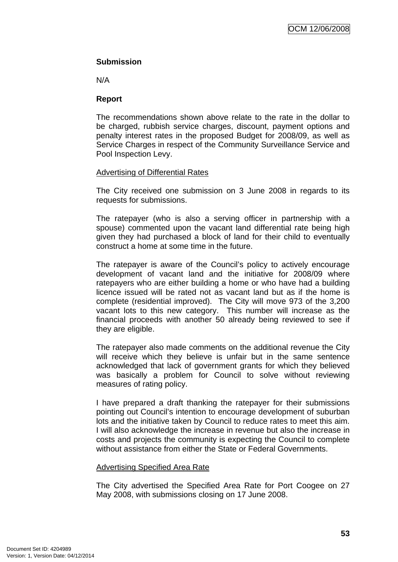## **Submission**

N/A

## **Report**

The recommendations shown above relate to the rate in the dollar to be charged, rubbish service charges, discount, payment options and penalty interest rates in the proposed Budget for 2008/09, as well as Service Charges in respect of the Community Surveillance Service and Pool Inspection Levy.

## Advertising of Differential Rates

The City received one submission on 3 June 2008 in regards to its requests for submissions.

The ratepayer (who is also a serving officer in partnership with a spouse) commented upon the vacant land differential rate being high given they had purchased a block of land for their child to eventually construct a home at some time in the future.

The ratepayer is aware of the Council's policy to actively encourage development of vacant land and the initiative for 2008/09 where ratepayers who are either building a home or who have had a building licence issued will be rated not as vacant land but as if the home is complete (residential improved). The City will move 973 of the 3,200 vacant lots to this new category. This number will increase as the financial proceeds with another 50 already being reviewed to see if they are eligible.

The ratepayer also made comments on the additional revenue the City will receive which they believe is unfair but in the same sentence acknowledged that lack of government grants for which they believed was basically a problem for Council to solve without reviewing measures of rating policy.

I have prepared a draft thanking the ratepayer for their submissions pointing out Council's intention to encourage development of suburban lots and the initiative taken by Council to reduce rates to meet this aim. I will also acknowledge the increase in revenue but also the increase in costs and projects the community is expecting the Council to complete without assistance from either the State or Federal Governments.

#### Advertising Specified Area Rate

The City advertised the Specified Area Rate for Port Coogee on 27 May 2008, with submissions closing on 17 June 2008.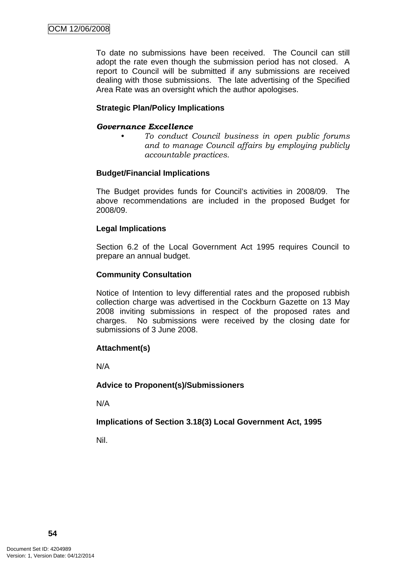To date no submissions have been received. The Council can still adopt the rate even though the submission period has not closed. A report to Council will be submitted if any submissions are received dealing with those submissions. The late advertising of the Specified Area Rate was an oversight which the author apologises.

## **Strategic Plan/Policy Implications**

#### *Governance Excellence*

*• To conduct Council business in open public forums and to manage Council affairs by employing publicly accountable practices.* 

#### **Budget/Financial Implications**

The Budget provides funds for Council's activities in 2008/09. The above recommendations are included in the proposed Budget for 2008/09.

#### **Legal Implications**

Section 6.2 of the Local Government Act 1995 requires Council to prepare an annual budget.

#### **Community Consultation**

Notice of Intention to levy differential rates and the proposed rubbish collection charge was advertised in the Cockburn Gazette on 13 May 2008 inviting submissions in respect of the proposed rates and charges. No submissions were received by the closing date for submissions of 3 June 2008.

#### **Attachment(s)**

N/A

#### **Advice to Proponent(s)/Submissioners**

N/A

# **Implications of Section 3.18(3) Local Government Act, 1995**

Nil.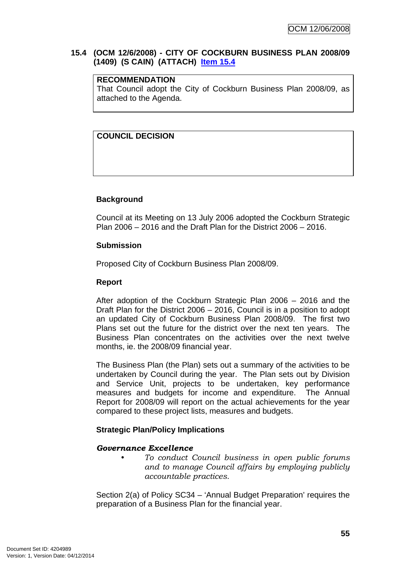#### **15.4 (OCM 12/6/2008) - CITY OF COCKBURN BUSINESS PLAN 2008/09 (1409) (S CAIN) (ATTACH) Item 15.4**

## **RECOMMENDATION**

That Council adopt the City of Cockburn Business Plan 2008/09, as attached to the Agenda.

# **COUNCIL DECISION**

## **Background**

Council at its Meeting on 13 July 2006 adopted the Cockburn Strategic Plan 2006 – 2016 and the Draft Plan for the District 2006 – 2016.

#### **Submission**

Proposed City of Cockburn Business Plan 2008/09.

### **Report**

After adoption of the Cockburn Strategic Plan 2006 – 2016 and the Draft Plan for the District 2006 – 2016, Council is in a position to adopt an updated City of Cockburn Business Plan 2008/09. The first two Plans set out the future for the district over the next ten years. The Business Plan concentrates on the activities over the next twelve months, ie. the 2008/09 financial year.

The Business Plan (the Plan) sets out a summary of the activities to be undertaken by Council during the year. The Plan sets out by Division and Service Unit, projects to be undertaken, key performance measures and budgets for income and expenditure. The Annual Report for 2008/09 will report on the actual achievements for the year compared to these project lists, measures and budgets.

# **Strategic Plan/Policy Implications**

#### *Governance Excellence*

*• To conduct Council business in open public forums and to manage Council affairs by employing publicly accountable practices.* 

Section 2(a) of Policy SC34 – 'Annual Budget Preparation' requires the preparation of a Business Plan for the financial year.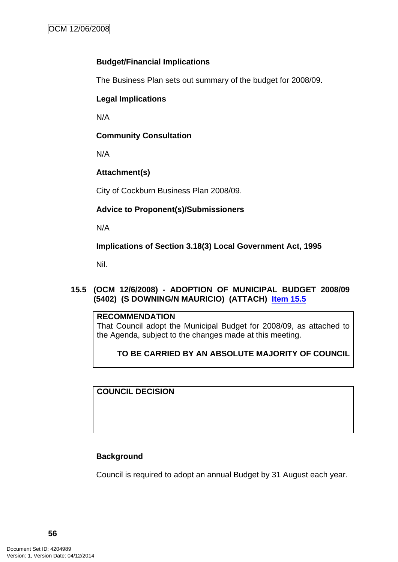## **Budget/Financial Implications**

The Business Plan sets out summary of the budget for 2008/09.

# **Legal Implications**

N/A

# **Community Consultation**

N/A

# **Attachment(s)**

City of Cockburn Business Plan 2008/09.

# **Advice to Proponent(s)/Submissioners**

N/A

**Implications of Section 3.18(3) Local Government Act, 1995**

Nil.

# **15.5 (OCM 12/6/2008) - ADOPTION OF MUNICIPAL BUDGET 2008/09 (5402) (S DOWNING/N MAURICIO) (ATTACH) Item 15.5**

# **RECOMMENDATION**

That Council adopt the Municipal Budget for 2008/09, as attached to the Agenda, subject to the changes made at this meeting.

# **TO BE CARRIED BY AN ABSOLUTE MAJORITY OF COUNCIL**

**COUNCIL DECISION**

# **Background**

Council is required to adopt an annual Budget by 31 August each year.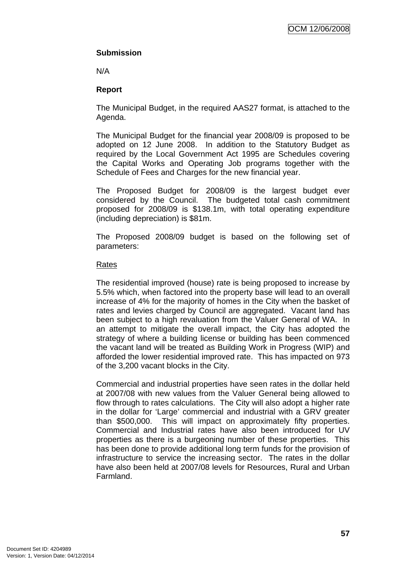# **Submission**

N/A

# **Report**

The Municipal Budget, in the required AAS27 format, is attached to the Agenda.

The Municipal Budget for the financial year 2008/09 is proposed to be adopted on 12 June 2008. In addition to the Statutory Budget as required by the Local Government Act 1995 are Schedules covering the Capital Works and Operating Job programs together with the Schedule of Fees and Charges for the new financial year.

The Proposed Budget for 2008/09 is the largest budget ever considered by the Council. The budgeted total cash commitment proposed for 2008/09 is \$138.1m, with total operating expenditure (including depreciation) is \$81m.

The Proposed 2008/09 budget is based on the following set of parameters:

## Rates

The residential improved (house) rate is being proposed to increase by 5.5% which, when factored into the property base will lead to an overall increase of 4% for the majority of homes in the City when the basket of rates and levies charged by Council are aggregated. Vacant land has been subject to a high revaluation from the Valuer General of WA. In an attempt to mitigate the overall impact, the City has adopted the strategy of where a building license or building has been commenced the vacant land will be treated as Building Work in Progress (WIP) and afforded the lower residential improved rate. This has impacted on 973 of the 3,200 vacant blocks in the City.

Commercial and industrial properties have seen rates in the dollar held at 2007/08 with new values from the Valuer General being allowed to flow through to rates calculations. The City will also adopt a higher rate in the dollar for 'Large' commercial and industrial with a GRV greater than \$500,000. This will impact on approximately fifty properties. Commercial and Industrial rates have also been introduced for UV properties as there is a burgeoning number of these properties. This has been done to provide additional long term funds for the provision of infrastructure to service the increasing sector. The rates in the dollar have also been held at 2007/08 levels for Resources, Rural and Urban **Farmland**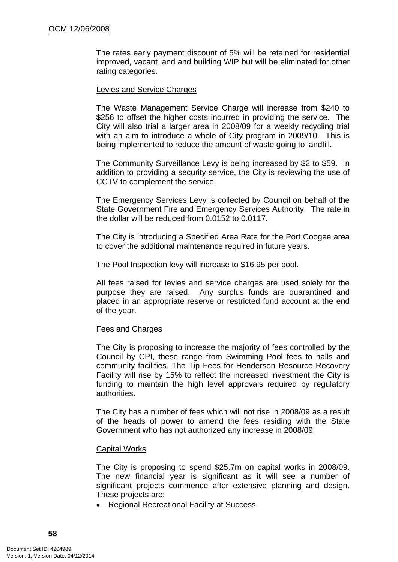The rates early payment discount of 5% will be retained for residential improved, vacant land and building WIP but will be eliminated for other rating categories.

#### Levies and Service Charges

The Waste Management Service Charge will increase from \$240 to \$256 to offset the higher costs incurred in providing the service. The City will also trial a larger area in 2008/09 for a weekly recycling trial with an aim to introduce a whole of City program in 2009/10. This is being implemented to reduce the amount of waste going to landfill.

The Community Surveillance Levy is being increased by \$2 to \$59. In addition to providing a security service, the City is reviewing the use of CCTV to complement the service.

The Emergency Services Levy is collected by Council on behalf of the State Government Fire and Emergency Services Authority. The rate in the dollar will be reduced from 0.0152 to 0.0117.

The City is introducing a Specified Area Rate for the Port Coogee area to cover the additional maintenance required in future years.

The Pool Inspection levy will increase to \$16.95 per pool.

All fees raised for levies and service charges are used solely for the purpose they are raised. Any surplus funds are quarantined and placed in an appropriate reserve or restricted fund account at the end of the year.

#### Fees and Charges

The City is proposing to increase the majority of fees controlled by the Council by CPI, these range from Swimming Pool fees to halls and community facilities. The Tip Fees for Henderson Resource Recovery Facility will rise by 15% to reflect the increased investment the City is funding to maintain the high level approvals required by regulatory authorities.

The City has a number of fees which will not rise in 2008/09 as a result of the heads of power to amend the fees residing with the State Government who has not authorized any increase in 2008/09.

#### Capital Works

The City is proposing to spend \$25.7m on capital works in 2008/09. The new financial year is significant as it will see a number of significant projects commence after extensive planning and design. These projects are:

• Regional Recreational Facility at Success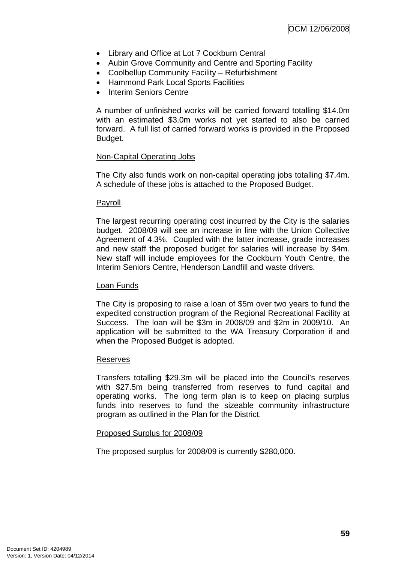- Library and Office at Lot 7 Cockburn Central
- Aubin Grove Community and Centre and Sporting Facility
- Coolbellup Community Facility Refurbishment
- Hammond Park Local Sports Facilities
- Interim Seniors Centre

A number of unfinished works will be carried forward totalling \$14.0m with an estimated \$3.0m works not yet started to also be carried forward. A full list of carried forward works is provided in the Proposed Budget.

#### Non-Capital Operating Jobs

The City also funds work on non-capital operating jobs totalling \$7.4m. A schedule of these jobs is attached to the Proposed Budget.

#### Payroll

The largest recurring operating cost incurred by the City is the salaries budget. 2008/09 will see an increase in line with the Union Collective Agreement of 4.3%. Coupled with the latter increase, grade increases and new staff the proposed budget for salaries will increase by \$4m. New staff will include employees for the Cockburn Youth Centre, the Interim Seniors Centre, Henderson Landfill and waste drivers.

#### Loan Funds

The City is proposing to raise a loan of \$5m over two years to fund the expedited construction program of the Regional Recreational Facility at Success. The loan will be \$3m in 2008/09 and \$2m in 2009/10. An application will be submitted to the WA Treasury Corporation if and when the Proposed Budget is adopted.

#### Reserves

Transfers totalling \$29.3m will be placed into the Council's reserves with \$27.5m being transferred from reserves to fund capital and operating works. The long term plan is to keep on placing surplus funds into reserves to fund the sizeable community infrastructure program as outlined in the Plan for the District.

#### Proposed Surplus for 2008/09

The proposed surplus for 2008/09 is currently \$280,000.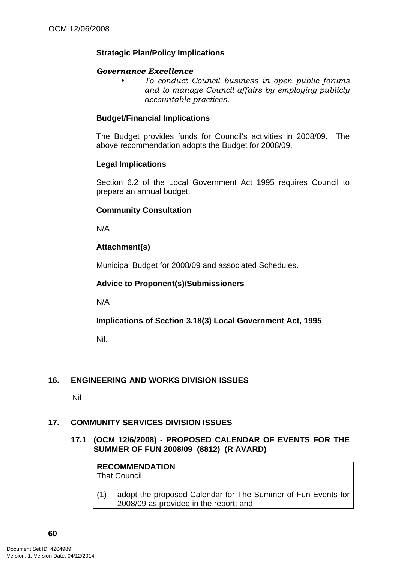## **Strategic Plan/Policy Implications**

#### *Governance Excellence*

*• To conduct Council business in open public forums and to manage Council affairs by employing publicly accountable practices.* 

#### **Budget/Financial Implications**

The Budget provides funds for Council's activities in 2008/09. The above recommendation adopts the Budget for 2008/09.

#### **Legal Implications**

Section 6.2 of the Local Government Act 1995 requires Council to prepare an annual budget.

#### **Community Consultation**

N/A

## **Attachment(s)**

Municipal Budget for 2008/09 and associated Schedules.

#### **Advice to Proponent(s)/Submissioners**

N/A

**Implications of Section 3.18(3) Local Government Act, 1995**

Nil.

#### **16. ENGINEERING AND WORKS DIVISION ISSUES**

Nil

#### **17. COMMUNITY SERVICES DIVISION ISSUES**

**17.1 (OCM 12/6/2008) - PROPOSED CALENDAR OF EVENTS FOR THE SUMMER OF FUN 2008/09 (8812) (R AVARD)** 

**RECOMMENDATION** That Council:

(1) adopt the proposed Calendar for The Summer of Fun Events for 2008/09 as provided in the report; and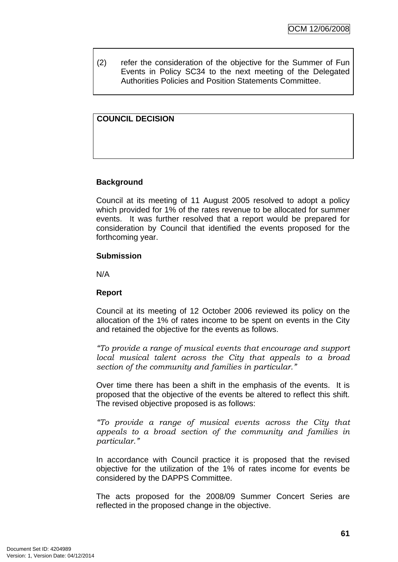(2) refer the consideration of the objective for the Summer of Fun Events in Policy SC34 to the next meeting of the Delegated Authorities Policies and Position Statements Committee.

## **COUNCIL DECISION**

#### **Background**

Council at its meeting of 11 August 2005 resolved to adopt a policy which provided for 1% of the rates revenue to be allocated for summer events. It was further resolved that a report would be prepared for consideration by Council that identified the events proposed for the forthcoming year.

#### **Submission**

N/A

#### **Report**

Council at its meeting of 12 October 2006 reviewed its policy on the allocation of the 1% of rates income to be spent on events in the City and retained the objective for the events as follows.

*"To provide a range of musical events that encourage and support local musical talent across the City that appeals to a broad section of the community and families in particular."* 

Over time there has been a shift in the emphasis of the events. It is proposed that the objective of the events be altered to reflect this shift. The revised objective proposed is as follows:

*"To provide a range of musical events across the City that appeals to a broad section of the community and families in particular."* 

In accordance with Council practice it is proposed that the revised objective for the utilization of the 1% of rates income for events be considered by the DAPPS Committee.

The acts proposed for the 2008/09 Summer Concert Series are reflected in the proposed change in the objective.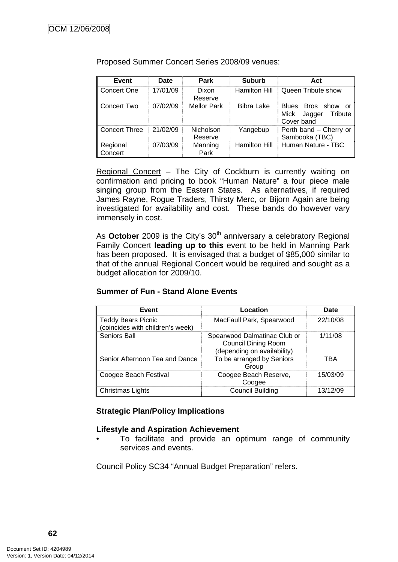| Event               | <b>Date</b> | Park                 | <b>Suburb</b>        | Act                                                           |
|---------------------|-------------|----------------------|----------------------|---------------------------------------------------------------|
| Concert One         | 17/01/09    | Dixon<br>Reserve     | <b>Hamilton Hill</b> | Queen Tribute show                                            |
| Concert Two         | 07/02/09    | <b>Mellor Park</b>   | <b>Bibra Lake</b>    | Blues Bros show<br>or<br>Mick Jagger<br>Tribute<br>Cover band |
| ll Concert Three    | 21/02/09    | Nicholson<br>Reserve | Yangebup             | Perth band - Cherry or<br>Sambooka (TBC)                      |
| Regional<br>Concert | 07/03/09    | Manning<br>Park      | <b>Hamilton Hill</b> | Human Nature - TBC                                            |

Proposed Summer Concert Series 2008/09 venues:

Regional Concert – The City of Cockburn is currently waiting on confirmation and pricing to book "Human Nature" a four piece male singing group from the Eastern States. As alternatives, if required James Rayne, Rogue Traders, Thirsty Merc, or Bijorn Again are being investigated for availability and cost. These bands do however vary immensely in cost.

As **October** 2009 is the City's 30<sup>th</sup> anniversary a celebratory Regional Family Concert **leading up to this** event to be held in Manning Park has been proposed. It is envisaged that a budget of \$85,000 similar to that of the annual Regional Concert would be required and sought as a budget allocation for 2009/10.

## **Summer of Fun - Stand Alone Events**

| Event                                                         | Location                                                                                  | Date     |
|---------------------------------------------------------------|-------------------------------------------------------------------------------------------|----------|
| <b>Teddy Bears Picnic</b><br>(coincides with children's week) | MacFaull Park, Spearwood                                                                  | 22/10/08 |
| Seniors Ball                                                  | Spearwood Dalmatinac Club or<br><b>Council Dining Room</b><br>(depending on availability) | 1/11/08  |
| Senior Afternoon Tea and Dance                                | To be arranged by Seniors<br>Group                                                        | TBA      |
| Coogee Beach Festival                                         | Coogee Beach Reserve,<br>Coogee                                                           | 15/03/09 |
| Christmas Lights                                              | <b>Council Building</b>                                                                   | 13/12/09 |

#### **Strategic Plan/Policy Implications**

#### **Lifestyle and Aspiration Achievement**

• To facilitate and provide an optimum range of community services and events.

Council Policy SC34 "Annual Budget Preparation" refers.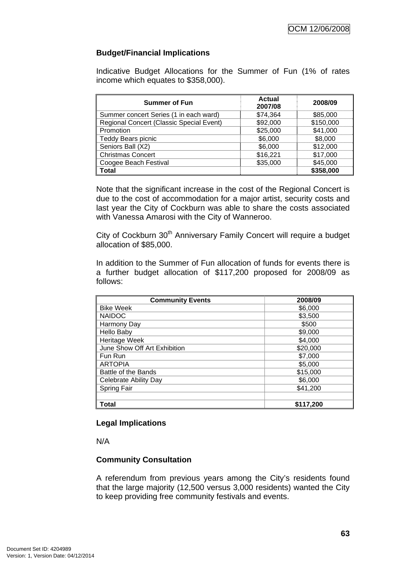## **Budget/Financial Implications**

Indicative Budget Allocations for the Summer of Fun (1% of rates income which equates to \$358,000).

| <b>Summer of Fun</b>                     | <b>Actual</b><br>2007/08 | 2008/09   |
|------------------------------------------|--------------------------|-----------|
| Summer concert Series (1 in each ward)   | \$74,364                 | \$85,000  |
| Regional Concert (Classic Special Event) | \$92,000                 | \$150,000 |
| Promotion                                | \$25,000                 | \$41,000  |
| <b>Teddy Bears picnic</b>                | \$6,000                  | \$8,000   |
| Seniors Ball (X2)                        | \$6,000                  | \$12,000  |
| <b>Christmas Concert</b>                 | \$16,221                 | \$17,000  |
| Coogee Beach Festival                    | \$35,000                 | \$45,000  |
| <b>Total</b>                             |                          | \$358,000 |

Note that the significant increase in the cost of the Regional Concert is due to the cost of accommodation for a major artist, security costs and last year the City of Cockburn was able to share the costs associated with Vanessa Amarosi with the City of Wanneroo.

City of Cockburn 30<sup>th</sup> Anniversary Family Concert will require a budget allocation of \$85,000.

In addition to the Summer of Fun allocation of funds for events there is a further budget allocation of \$117,200 proposed for 2008/09 as follows:

| <b>Community Events</b>      | 2008/09   |  |
|------------------------------|-----------|--|
| <b>Bike Week</b>             | \$6,000   |  |
| <b>NAIDOC</b>                | \$3,500   |  |
| Harmony Day                  | \$500     |  |
| <b>Hello Baby</b>            | \$9,000   |  |
| Heritage Week                | \$4,000   |  |
| June Show Off Art Exhibition | \$20,000  |  |
| Fun Run                      | \$7,000   |  |
| <b>ARTOPIA</b>               | \$5,000   |  |
| Battle of the Bands          | \$15,000  |  |
| Celebrate Ability Day        | \$6,000   |  |
| Spring Fair                  | \$41,200  |  |
|                              |           |  |
| Total                        | \$117,200 |  |

#### **Legal Implications**

N/A

# **Community Consultation**

A referendum from previous years among the City's residents found that the large majority (12,500 versus 3,000 residents) wanted the City to keep providing free community festivals and events.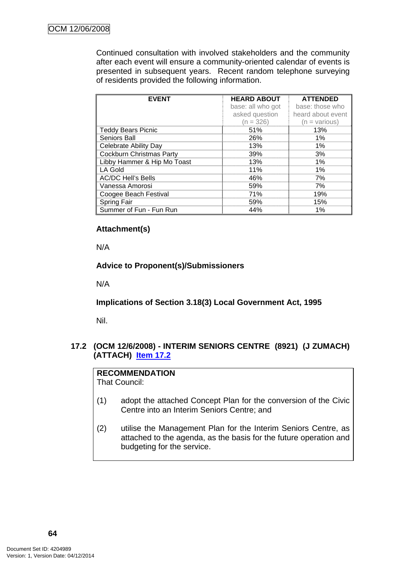Continued consultation with involved stakeholders and the community after each event will ensure a community-oriented calendar of events is presented in subsequent years. Recent random telephone surveying of residents provided the following information.

| <b>EVENT</b>                    | <b>HEARD ABOUT</b> | <b>ATTENDED</b>   |
|---------------------------------|--------------------|-------------------|
|                                 | base: all who got  | base: those who   |
|                                 | asked question     | heard about event |
|                                 | $(n = 326)$        | (n = various)     |
| <b>Teddy Bears Picnic</b>       | 51%                | 13%               |
| Seniors Ball                    | 26%                | $1\%$             |
| <b>Celebrate Ability Day</b>    | 13%                | 1%                |
| <b>Cockburn Christmas Party</b> | 39%                | 3%                |
| Libby Hammer & Hip Mo Toast     | 13%                | 1%                |
| LA Gold                         | 11%                | $1\%$             |
| <b>AC/DC Hell's Bells</b>       | 46%                | 7%                |
| Vanessa Amorosi                 | 59%                | 7%                |
| Coogee Beach Festival           | 71%                | 19%               |
| Spring Fair                     | 59%                | 15%               |
| Summer of Fun - Fun Run         | 44%                | 1%                |

## **Attachment(s)**

N/A

## **Advice to Proponent(s)/Submissioners**

N/A

# **Implications of Section 3.18(3) Local Government Act, 1995**

Nil.

## **17.2 (OCM 12/6/2008) - INTERIM SENIORS CENTRE (8921) (J ZUMACH) (ATTACH) Item 17.2**

# **RECOMMENDATION**

That Council:

- (1) adopt the attached Concept Plan for the conversion of the Civic Centre into an Interim Seniors Centre; and
- (2) utilise the Management Plan for the Interim Seniors Centre, as attached to the agenda, as the basis for the future operation and budgeting for the service.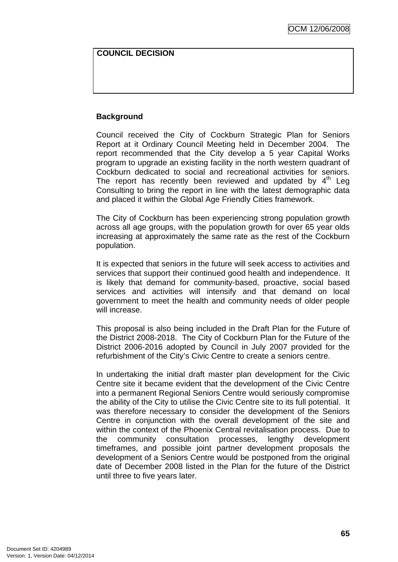#### **COUNCIL DECISION**

## **Background**

Council received the City of Cockburn Strategic Plan for Seniors Report at it Ordinary Council Meeting held in December 2004. The report recommended that the City develop a 5 year Capital Works program to upgrade an existing facility in the north western quadrant of Cockburn dedicated to social and recreational activities for seniors. The report has recently been reviewed and updated by  $4<sup>th</sup>$  Leg Consulting to bring the report in line with the latest demographic data and placed it within the Global Age Friendly Cities framework.

The City of Cockburn has been experiencing strong population growth across all age groups, with the population growth for over 65 year olds increasing at approximately the same rate as the rest of the Cockburn population.

It is expected that seniors in the future will seek access to activities and services that support their continued good health and independence. It is likely that demand for community-based, proactive, social based services and activities will intensify and that demand on local government to meet the health and community needs of older people will increase.

This proposal is also being included in the Draft Plan for the Future of the District 2008-2018. The City of Cockburn Plan for the Future of the District 2006-2016 adopted by Council in July 2007 provided for the refurbishment of the City's Civic Centre to create a seniors centre.

In undertaking the initial draft master plan development for the Civic Centre site it became evident that the development of the Civic Centre into a permanent Regional Seniors Centre would seriously compromise the ability of the City to utilise the Civic Centre site to its full potential. It was therefore necessary to consider the development of the Seniors Centre in conjunction with the overall development of the site and within the context of the Phoenix Central revitalisation process. Due to the community consultation processes, lengthy development timeframes, and possible joint partner development proposals the development of a Seniors Centre would be postponed from the original date of December 2008 listed in the Plan for the future of the District until three to five years later.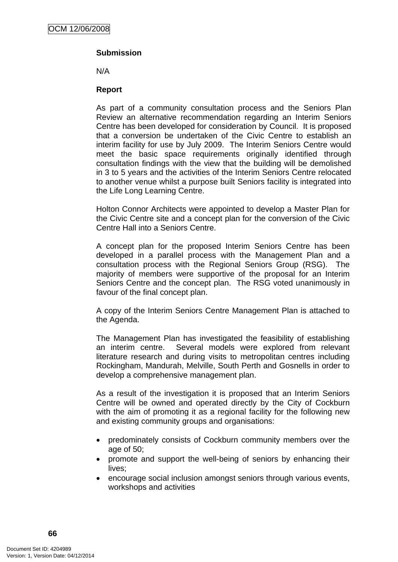# **Submission**

N/A

#### **Report**

As part of a community consultation process and the Seniors Plan Review an alternative recommendation regarding an Interim Seniors Centre has been developed for consideration by Council. It is proposed that a conversion be undertaken of the Civic Centre to establish an interim facility for use by July 2009. The Interim Seniors Centre would meet the basic space requirements originally identified through consultation findings with the view that the building will be demolished in 3 to 5 years and the activities of the Interim Seniors Centre relocated to another venue whilst a purpose built Seniors facility is integrated into the Life Long Learning Centre.

Holton Connor Architects were appointed to develop a Master Plan for the Civic Centre site and a concept plan for the conversion of the Civic Centre Hall into a Seniors Centre.

A concept plan for the proposed Interim Seniors Centre has been developed in a parallel process with the Management Plan and a consultation process with the Regional Seniors Group (RSG). The majority of members were supportive of the proposal for an Interim Seniors Centre and the concept plan. The RSG voted unanimously in favour of the final concept plan.

A copy of the Interim Seniors Centre Management Plan is attached to the Agenda.

The Management Plan has investigated the feasibility of establishing an interim centre. Several models were explored from relevant literature research and during visits to metropolitan centres including Rockingham, Mandurah, Melville, South Perth and Gosnells in order to develop a comprehensive management plan.

As a result of the investigation it is proposed that an Interim Seniors Centre will be owned and operated directly by the City of Cockburn with the aim of promoting it as a regional facility for the following new and existing community groups and organisations:

- predominately consists of Cockburn community members over the age of 50;
- promote and support the well-being of seniors by enhancing their lives;
- encourage social inclusion amongst seniors through various events, workshops and activities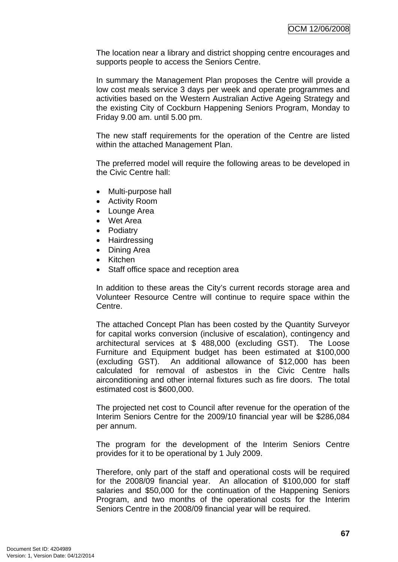The location near a library and district shopping centre encourages and supports people to access the Seniors Centre.

In summary the Management Plan proposes the Centre will provide a low cost meals service 3 days per week and operate programmes and activities based on the Western Australian Active Ageing Strategy and the existing City of Cockburn Happening Seniors Program, Monday to Friday 9.00 am. until 5.00 pm.

The new staff requirements for the operation of the Centre are listed within the attached Management Plan.

The preferred model will require the following areas to be developed in the Civic Centre hall:

- Multi-purpose hall
- Activity Room
- Lounge Area
- Wet Area
- Podiatry
- Hairdressing
- Dining Area
- Kitchen
- Staff office space and reception area

In addition to these areas the City's current records storage area and Volunteer Resource Centre will continue to require space within the Centre.

The attached Concept Plan has been costed by the Quantity Surveyor for capital works conversion (inclusive of escalation), contingency and architectural services at \$ 488,000 (excluding GST). The Loose Furniture and Equipment budget has been estimated at \$100,000 (excluding GST). An additional allowance of \$12,000 has been calculated for removal of asbestos in the Civic Centre halls airconditioning and other internal fixtures such as fire doors. The total estimated cost is \$600,000.

The projected net cost to Council after revenue for the operation of the Interim Seniors Centre for the 2009/10 financial year will be \$286,084 per annum.

The program for the development of the Interim Seniors Centre provides for it to be operational by 1 July 2009.

Therefore, only part of the staff and operational costs will be required for the 2008/09 financial year. An allocation of \$100,000 for staff salaries and \$50,000 for the continuation of the Happening Seniors Program, and two months of the operational costs for the Interim Seniors Centre in the 2008/09 financial year will be required.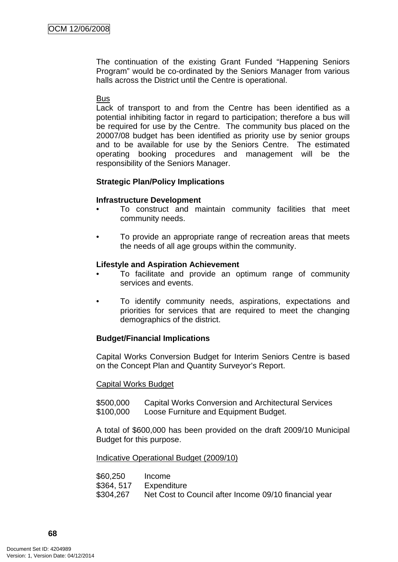The continuation of the existing Grant Funded "Happening Seniors Program" would be co-ordinated by the Seniors Manager from various halls across the District until the Centre is operational.

#### **Bus**

Lack of transport to and from the Centre has been identified as a potential inhibiting factor in regard to participation; therefore a bus will be required for use by the Centre. The community bus placed on the 20007/08 budget has been identified as priority use by senior groups and to be available for use by the Seniors Centre. The estimated operating booking procedures and management will be the responsibility of the Seniors Manager.

#### **Strategic Plan/Policy Implications**

#### **Infrastructure Development**

- To construct and maintain community facilities that meet community needs.
- To provide an appropriate range of recreation areas that meets the needs of all age groups within the community.

#### **Lifestyle and Aspiration Achievement**

- To facilitate and provide an optimum range of community services and events.
- To identify community needs, aspirations, expectations and priorities for services that are required to meet the changing demographics of the district.

#### **Budget/Financial Implications**

Capital Works Conversion Budget for Interim Seniors Centre is based on the Concept Plan and Quantity Surveyor's Report.

#### Capital Works Budget

\$500,000 Capital Works Conversion and Architectural Services \$100,000 Loose Furniture and Equipment Budget.

A total of \$600,000 has been provided on the draft 2009/10 Municipal Budget for this purpose.

#### Indicative Operational Budget (2009/10)

\$60,250 Income \$364, 517 Expenditure \$304,267 Net Cost to Council after Income 09/10 financial year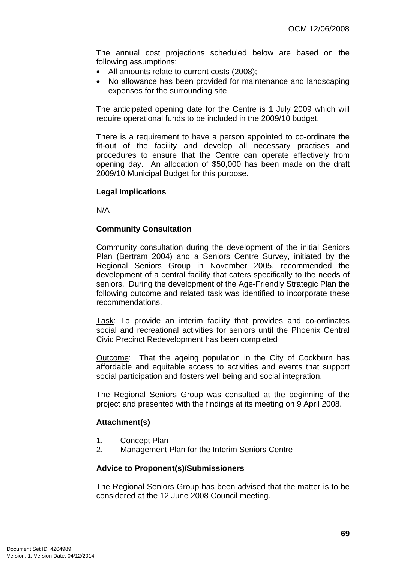The annual cost projections scheduled below are based on the following assumptions:

- All amounts relate to current costs (2008);
- No allowance has been provided for maintenance and landscaping expenses for the surrounding site

The anticipated opening date for the Centre is 1 July 2009 which will require operational funds to be included in the 2009/10 budget.

There is a requirement to have a person appointed to co-ordinate the fit-out of the facility and develop all necessary practises and procedures to ensure that the Centre can operate effectively from opening day. An allocation of \$50,000 has been made on the draft 2009/10 Municipal Budget for this purpose.

## **Legal Implications**

N/A

## **Community Consultation**

Community consultation during the development of the initial Seniors Plan (Bertram 2004) and a Seniors Centre Survey, initiated by the Regional Seniors Group in November 2005, recommended the development of a central facility that caters specifically to the needs of seniors. During the development of the Age-Friendly Strategic Plan the following outcome and related task was identified to incorporate these recommendations.

Task: To provide an interim facility that provides and co-ordinates social and recreational activities for seniors until the Phoenix Central Civic Precinct Redevelopment has been completed

Outcome: That the ageing population in the City of Cockburn has affordable and equitable access to activities and events that support social participation and fosters well being and social integration.

The Regional Seniors Group was consulted at the beginning of the project and presented with the findings at its meeting on 9 April 2008.

## **Attachment(s)**

- 1. Concept Plan
- 2. Management Plan for the Interim Seniors Centre

## **Advice to Proponent(s)/Submissioners**

The Regional Seniors Group has been advised that the matter is to be considered at the 12 June 2008 Council meeting.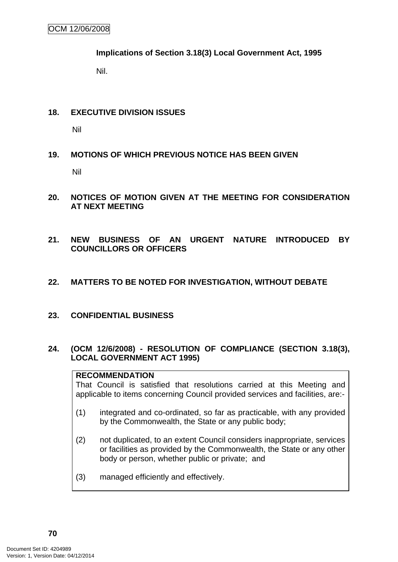**Implications of Section 3.18(3) Local Government Act, 1995**

Nil.

## **18. EXECUTIVE DIVISION ISSUES**

Nil

## **19. MOTIONS OF WHICH PREVIOUS NOTICE HAS BEEN GIVEN**

Nil

- **20. NOTICES OF MOTION GIVEN AT THE MEETING FOR CONSIDERATION AT NEXT MEETING**
- **21. NEW BUSINESS OF AN URGENT NATURE INTRODUCED BY COUNCILLORS OR OFFICERS**
- **22. MATTERS TO BE NOTED FOR INVESTIGATION, WITHOUT DEBATE**
- **23. CONFIDENTIAL BUSINESS**

## **24. (OCM 12/6/2008) - RESOLUTION OF COMPLIANCE (SECTION 3.18(3), LOCAL GOVERNMENT ACT 1995)**

## **RECOMMENDATION**

That Council is satisfied that resolutions carried at this Meeting and applicable to items concerning Council provided services and facilities, are:-

- (1) integrated and co-ordinated, so far as practicable, with any provided by the Commonwealth, the State or any public body;
- (2) not duplicated, to an extent Council considers inappropriate, services or facilities as provided by the Commonwealth, the State or any other body or person, whether public or private; and
- (3) managed efficiently and effectively.